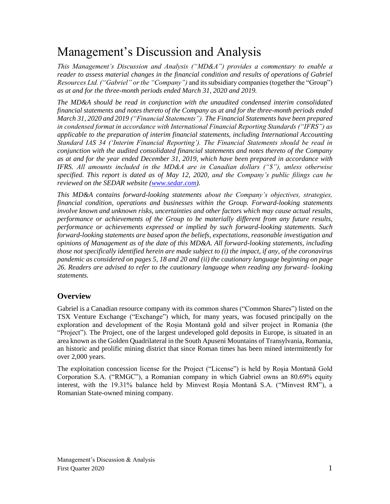# Management's Discussion and Analysis

*This Management's Discussion and Analysis ("MD&A") provides a commentary to enable a reader to assess material changes in the financial condition and results of operations of Gabriel Resources Ltd. ("Gabriel" or the "Company")* and its subsidiary companies (together the "Group") *as at and for the three-month periods ended March 31, 2020 and 2019.*

*The MD&A should be read in conjunction with the unaudited condensed interim consolidated financial statements and notes thereto of the Company as at and for the three-month periods ended March 31, 2020 and 2019 ("Financial Statements"). The Financial Statements have been prepared in condensed format in accordance with International Financial Reporting Standards ("IFRS") as applicable to the preparation of interim financial statements, including International Accounting Standard IAS 34 ('Interim Financial Reporting'). The Financial Statements should be read in conjunction with the audited consolidated financial statements and notes thereto of the Company as at and for the year ended December 31, 2019, which have been prepared in accordance with IFRS. All amounts included in the MD&A are in Canadian dollars ("\$"), unless otherwise specified. This report is dated as of May 12, 2020, and the Company's public filings can be reviewed on the SEDAR website [\(www.sedar.com\)](http://www.sedar.com/).*

*This MD&A contains forward-looking statements about the Company's objectives, strategies, financial condition, operations and businesses within the Group. Forward-looking statements involve known and unknown risks, uncertainties and other factors which may cause actual results, performance or achievements of the Group to be materially different from any future results, performance or achievements expressed or implied by such forward-looking statements. Such forward-looking statements are based upon the beliefs, expectations, reasonable investigation and opinions of Management as of the date of this MD&A. All forward-looking statements, including those not specifically identified herein are made subject to (i) the impact, if any, of the coronavirus pandemic as considered on pages 5, 18 and 20 and (ii) the cautionary language beginning on page 26. Readers are advised to refer to the cautionary language when reading any forward- looking statements.*

# **Overview**

Gabriel is a Canadian resource company with its common shares ("Common Shares") listed on the TSX Venture Exchange ("Exchange") which, for many years, was focused principally on the exploration and development of the Roșia Montană gold and silver project in Romania (the "Project"). The Project, one of the largest undeveloped gold deposits in Europe, is situated in an area known as the Golden Quadrilateral in the South Apuseni Mountains of Transylvania, Romania, an historic and prolific mining district that since Roman times has been mined intermittently for over 2,000 years.

The exploitation concession license for the Project ("License") is held by Roșia Montană Gold Corporation S.A. ("RMGC"), a Romanian company in which Gabriel owns an 80.69% equity interest, with the 19.31% balance held by Minvest Roșia Montană S.A. ("Minvest RM"), a Romanian State-owned mining company.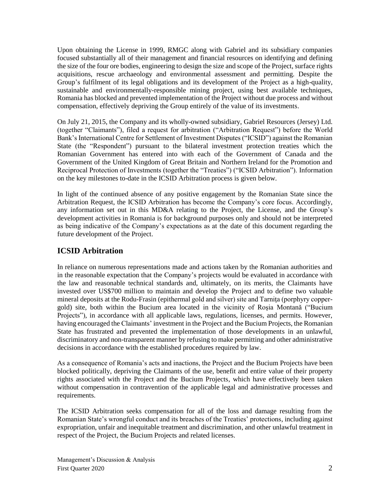Upon obtaining the License in 1999, RMGC along with Gabriel and its subsidiary companies focused substantially all of their management and financial resources on identifying and defining the size of the four ore bodies, engineering to design the size and scope of the Project, surface rights acquisitions, rescue archaeology and environmental assessment and permitting. Despite the Group's fulfilment of its legal obligations and its development of the Project as a high-quality, sustainable and environmentally-responsible mining project, using best available techniques, Romania has blocked and prevented implementation of the Project without due process and without compensation, effectively depriving the Group entirely of the value of its investments.

On July 21, 2015, the Company and its wholly-owned subsidiary, Gabriel Resources (Jersey) Ltd. (together "Claimants"), filed a request for arbitration ("Arbitration Request") before the World Bank's International Centre for Settlement of Investment Disputes ("ICSID") against the Romanian State (the "Respondent") pursuant to the bilateral investment protection treaties which the Romanian Government has entered into with each of the Government of Canada and the Government of the United Kingdom of Great Britain and Northern Ireland for the Promotion and Reciprocal Protection of Investments (together the "Treaties") ("ICSID Arbitration"). Information on the key milestones to-date in the ICSID Arbitration process is given below.

In light of the continued absence of any positive engagement by the Romanian State since the Arbitration Request, the ICSID Arbitration has become the Company's core focus. Accordingly, any information set out in this MD&A relating to the Project, the License, and the Group's development activities in Romania is for background purposes only and should not be interpreted as being indicative of the Company's expectations as at the date of this document regarding the future development of the Project.

# **ICSID Arbitration**

In reliance on numerous representations made and actions taken by the Romanian authorities and in the reasonable expectation that the Company's projects would be evaluated in accordance with the law and reasonable technical standards and, ultimately, on its merits, the Claimants have invested over US\$700 million to maintain and develop the Project and to define two valuable mineral deposits at the Rodu-Frasin (epithermal gold and silver) site and Tarnita (porphyry coppergold) site, both within the Bucium area located in the vicinity of Roşia Montană ("Bucium Projects"), in accordance with all applicable laws, regulations, licenses, and permits. However, having encouraged the Claimants' investment in the Project and the Bucium Projects, the Romanian State has frustrated and prevented the implementation of those developments in an unlawful, discriminatory and non-transparent manner by refusing to make permitting and other administrative decisions in accordance with the established procedures required by law.

As a consequence of Romania's acts and inactions, the Project and the Bucium Projects have been blocked politically, depriving the Claimants of the use, benefit and entire value of their property rights associated with the Project and the Bucium Projects, which have effectively been taken without compensation in contravention of the applicable legal and administrative processes and requirements.

The ICSID Arbitration seeks compensation for all of the loss and damage resulting from the Romanian State's wrongful conduct and its breaches of the Treaties' protections, including against expropriation, unfair and inequitable treatment and discrimination, and other unlawful treatment in respect of the Project, the Bucium Projects and related licenses.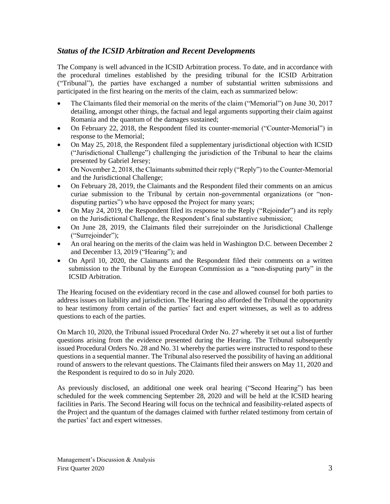# *Status of the ICSID Arbitration and Recent Developments*

The Company is well advanced in the ICSID Arbitration process. To date, and in accordance with the procedural timelines established by the presiding tribunal for the ICSID Arbitration ("Tribunal"), the parties have exchanged a number of substantial written submissions and participated in the first hearing on the merits of the claim, each as summarized below:

- The Claimants filed their memorial on the merits of the claim ("Memorial") on June 30, 2017 detailing, amongst other things, the factual and legal arguments supporting their claim against Romania and the quantum of the damages sustained;
- On February 22, 2018, the Respondent filed its counter-memorial ("Counter-Memorial") in response to the Memorial;
- On May 25, 2018, the Respondent filed a supplementary jurisdictional objection with ICSID ("Jurisdictional Challenge") challenging the jurisdiction of the Tribunal to hear the claims presented by Gabriel Jersey;
- On November 2, 2018, the Claimants submitted their reply ("Reply") to the Counter-Memorial and the Jurisdictional Challenge;
- On February 28, 2019, the Claimants and the Respondent filed their comments on an amicus curiae submission to the Tribunal by certain non-governmental organizations (or "nondisputing parties") who have opposed the Project for many years;
- On May 24, 2019, the Respondent filed its response to the Reply ("Rejoinder") and its reply on the Jurisdictional Challenge, the Respondent's final substantive submission;
- On June 28, 2019, the Claimants filed their surrejoinder on the Jurisdictional Challenge ("Surrejoinder"):
- An oral hearing on the merits of the claim was held in Washington D.C. between December 2 and December 13, 2019 ("Hearing"); and
- On April 10, 2020, the Claimants and the Respondent filed their comments on a written submission to the Tribunal by the European Commission as a "non-disputing party" in the ICSID Arbitration.

The Hearing focused on the evidentiary record in the case and allowed counsel for both parties to address issues on liability and jurisdiction. The Hearing also afforded the Tribunal the opportunity to hear testimony from certain of the parties' fact and expert witnesses, as well as to address questions to each of the parties.

On March 10, 2020, the Tribunal issued Procedural Order No. 27 whereby it set out a list of further questions arising from the evidence presented during the Hearing. The Tribunal subsequently issued Procedural Orders No. 28 and No. 31 whereby the parties were instructed to respond to these questions in a sequential manner. The Tribunal also reserved the possibility of having an additional round of answers to the relevant questions. The Claimants filed their answers on May 11, 2020 and the Respondent is required to do so in July 2020.

As previously disclosed, an additional one week oral hearing ("Second Hearing") has been scheduled for the week commencing September 28, 2020 and will be held at the ICSID hearing facilities in Paris. The Second Hearing will focus on the technical and feasibility-related aspects of the Project and the quantum of the damages claimed with further related testimony from certain of the parties' fact and expert witnesses.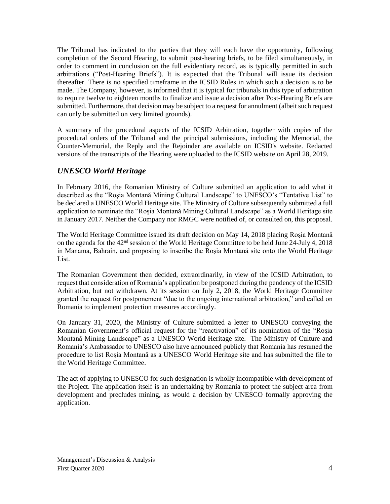The Tribunal has indicated to the parties that they will each have the opportunity, following completion of the Second Hearing, to submit post-hearing briefs, to be filed simultaneously, in order to comment in conclusion on the full evidentiary record, as is typically permitted in such arbitrations ("Post-Hearing Briefs"). It is expected that the Tribunal will issue its decision thereafter. There is no specified timeframe in the ICSID Rules in which such a decision is to be made. The Company, however, is informed that it is typical for tribunals in this type of arbitration to require twelve to eighteen months to finalize and issue a decision after Post-Hearing Briefs are submitted. Furthermore, that decision may be subject to a request for annulment (albeit such request can only be submitted on very limited grounds).

A summary of the procedural aspects of the ICSID Arbitration, together with copies of the procedural orders of the Tribunal and the principal submissions, including the Memorial, the Counter-Memorial, the Reply and the Rejoinder are available on ICSID's website. Redacted versions of the transcripts of the Hearing were uploaded to the ICSID website on April 28, 2019.

# *UNESCO World Heritage*

In February 2016, the Romanian Ministry of Culture submitted an application to add what it described as the "Roşia Montană Mining Cultural Landscape" to UNESCO's "Tentative List" to be declared a UNESCO World Heritage site. The Ministry of Culture subsequently submitted a full application to nominate the "Roşia Montană Mining Cultural Landscape" as a World Heritage site in January 2017. Neither the Company nor RMGC were notified of, or consulted on, this proposal.

The World Heritage Committee issued its draft decision on May 14, 2018 placing Roşia Montană on the agenda for the 42nd session of the World Heritage Committee to be held June 24-July 4, 2018 in Manama, Bahrain, and proposing to inscribe the Roşia Montană site onto the World Heritage List.

The Romanian Government then decided, extraordinarily, in view of the ICSID Arbitration, to request that consideration of Romania's application be postponed during the pendency of the ICSID Arbitration, but not withdrawn. At its session on July 2, 2018, the World Heritage Committee granted the request for postponement "due to the ongoing international arbitration," and called on Romania to implement protection measures accordingly.

On January 31, 2020, the Ministry of Culture submitted a letter to UNESCO conveying the Romanian Government's official request for the "reactivation" of its nomination of the "Roşia Montană Mining Landscape" as a UNESCO World Heritage site. The Ministry of Culture and Romania's Ambassador to UNESCO also have announced publicly that Romania has resumed the procedure to list Roşia Montană as a UNESCO World Heritage site and has submitted the file to the World Heritage Committee.

The act of applying to UNESCO for such designation is wholly incompatible with development of the Project. The application itself is an undertaking by Romania to protect the subject area from development and precludes mining, as would a decision by UNESCO formally approving the application.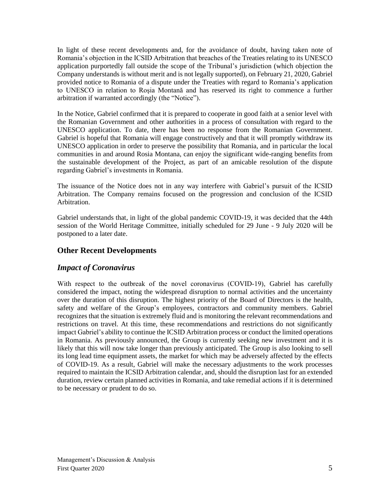In light of these recent developments and, for the avoidance of doubt, having taken note of Romania's objection in the ICSID Arbitration that breaches of the Treaties relating to its UNESCO application purportedly fall outside the scope of the Tribunal's jurisdiction (which objection the Company understands is without merit and is not legally supported), on February 21, 2020, Gabriel provided notice to Romania of a dispute under the Treaties with regard to Romania's application to UNESCO in relation to Roşia Montană and has reserved its right to commence a further arbitration if warranted accordingly (the "Notice").

In the Notice, Gabriel confirmed that it is prepared to cooperate in good faith at a senior level with the Romanian Government and other authorities in a process of consultation with regard to the UNESCO application. To date, there has been no response from the Romanian Government. Gabriel is hopeful that Romania will engage constructively and that it will promptly withdraw its UNESCO application in order to preserve the possibility that Romania, and in particular the local communities in and around Rosia Montana, can enjoy the significant wide-ranging benefits from the sustainable development of the Project, as part of an amicable resolution of the dispute regarding Gabriel's investments in Romania.

The issuance of the Notice does not in any way interfere with Gabriel's pursuit of the ICSID Arbitration. The Company remains focused on the progression and conclusion of the ICSID Arbitration.

Gabriel understands that, in light of the global pandemic COVID-19, it was decided that the 44th session of the World Heritage Committee, initially scheduled for 29 June - 9 July 2020 will be postponed to a later date.

# **Other Recent Developments**

# *Impact of Coronavirus*

With respect to the outbreak of the novel coronavirus (COVID-19), Gabriel has carefully considered the impact, noting the widespread disruption to normal activities and the uncertainty over the duration of this disruption. The highest priority of the Board of Directors is the health, safety and welfare of the Group's employees, contractors and community members. Gabriel recognizes that the situation is extremely fluid and is monitoring the relevant recommendations and restrictions on travel. At this time, these recommendations and restrictions do not significantly impact Gabriel's ability to continue the ICSID Arbitration process or conduct the limited operations in Romania. As previously announced, the Group is currently seeking new investment and it is likely that this will now take longer than previously anticipated. The Group is also looking to sell its long lead time equipment assets, the market for which may be adversely affected by the effects of COVID-19. As a result, Gabriel will make the necessary adjustments to the work processes required to maintain the ICSID Arbitration calendar, and, should the disruption last for an extended duration, review certain planned activities in Romania, and take remedial actions if it is determined to be necessary or prudent to do so.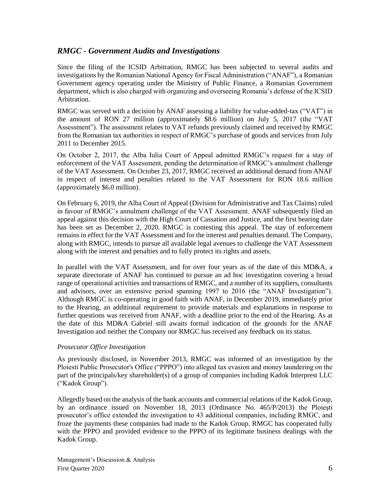# *RMGC - Government Audits and Investigations*

Since the filing of the ICSID Arbitration, RMGC has been subjected to several audits and investigations by the Romanian National Agency for Fiscal Administration ("ANAF"), a Romanian Government agency operating under the Ministry of Public Finance, a Romanian Government department, which is also charged with organizing and overseeing Romania's defense of the ICSID Arbitration.

RMGC was served with a decision by ANAF assessing a liability for value-added-tax ("VAT") in the amount of RON 27 million (approximately \$8.6 million) on July 5, 2017 (the "VAT Assessment"). The assessment relates to VAT refunds previously claimed and received by RMGC from the Romanian tax authorities in respect of RMGC's purchase of goods and services from July 2011 to December 2015.

On October 2, 2017, the Alba Iulia Court of Appeal admitted RMGC's request for a stay of enforcement of the VAT Assessment, pending the determination of RMGC's annulment challenge of the VAT Assessment. On October 23, 2017, RMGC received an additional demand from ANAF in respect of interest and penalties related to the VAT Assessment for RON 18.6 million (approximately \$6.0 million).

On February 6, 2019, the Alba Court of Appeal (Division for Administrative and Tax Claims) ruled in favour of RMGC's annulment challenge of the VAT Assessment. ANAF subsequently filed an appeal against this decision with the High Court of Cassation and Justice, and the first hearing date has been set as December 2, 2020. RMGC is contesting this appeal. The stay of enforcement remains in effect for the VAT Assessment and for the interest and penalties demand. The Company, along with RMGC, intends to pursue all available legal avenues to challenge the VAT Assessment along with the interest and penalties and to fully protect its rights and assets.

In parallel with the VAT Assessment, and for over four years as of the date of this MD&A, a separate directorate of ANAF has continued to pursue an ad hoc investigation covering a broad range of operational activities and transactions of RMGC, and a number of its suppliers, consultants and advisors, over an extensive period spanning 1997 to 2016 (the "ANAF Investigation"). Although RMGC is co-operating in good faith with ANAF, in December 2019, immediately prior to the Hearing, an additional requirement to provide materials and explanations in response to further questions was received from ANAF, with a deadline prior to the end of the Hearing. As at the date of this MD&A Gabriel still awaits formal indication of the grounds for the ANAF Investigation and neither the Company nor RMGC has received any feedback on its status.

### *Prosecutor Office Investigation*

As previously disclosed, in November 2013, RMGC was informed of an investigation by the Ploiesti Public Prosecutor's Office ("PPPO") into alleged tax evasion and money laundering on the part of the principals/key shareholder(s) of a group of companies including Kadok Interprest LLC ("Kadok Group").

Allegedly based on the analysis of the bank accounts and commercial relations of the Kadok Group, by an ordinance issued on November 18, 2013 (Ordinance No. 465/P/2013) the Ploieşti prosecutor's office extended the investigation to 43 additional companies, including RMGC, and froze the payments these companies had made to the Kadok Group. RMGC has cooperated fully with the PPPO and provided evidence to the PPPO of its legitimate business dealings with the Kadok Group.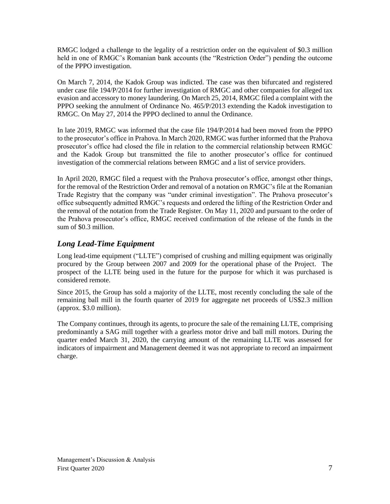RMGC lodged a challenge to the legality of a restriction order on the equivalent of \$0.3 million held in one of RMGC's Romanian bank accounts (the "Restriction Order") pending the outcome of the PPPO investigation.

On March 7, 2014, the Kadok Group was indicted. The case was then bifurcated and registered under case file 194/P/2014 for further investigation of RMGC and other companies for alleged tax evasion and accessory to money laundering. On March 25, 2014, RMGC filed a complaint with the PPPO seeking the annulment of Ordinance No. 465/P/2013 extending the Kadok investigation to RMGC. On May 27, 2014 the PPPO declined to annul the Ordinance.

In late 2019, RMGC was informed that the case file 194/P/2014 had been moved from the PPPO to the prosecutor's office in Prahova. In March 2020, RMGC was further informed that the Prahova prosecutor's office had closed the file in relation to the commercial relationship between RMGC and the Kadok Group but transmitted the file to another prosecutor's office for continued investigation of the commercial relations between RMGC and a list of service providers.

In April 2020, RMGC filed a request with the Prahova prosecutor's office, amongst other things, for the removal of the Restriction Order and removal of a notation on RMGC's file at the Romanian Trade Registry that the company was "under criminal investigation". The Prahova prosecutor's office subsequently admitted RMGC's requests and ordered the lifting of the Restriction Order and the removal of the notation from the Trade Register. On May 11, 2020 and pursuant to the order of the Prahova prosecutor's office, RMGC received confirmation of the release of the funds in the sum of \$0.3 million.

# *Long Lead-Time Equipment*

Long lead-time equipment ("LLTE") comprised of crushing and milling equipment was originally procured by the Group between 2007 and 2009 for the operational phase of the Project. The prospect of the LLTE being used in the future for the purpose for which it was purchased is considered remote.

Since 2015, the Group has sold a majority of the LLTE, most recently concluding the sale of the remaining ball mill in the fourth quarter of 2019 for aggregate net proceeds of US\$2.3 million (approx. \$3.0 million).

The Company continues, through its agents, to procure the sale of the remaining LLTE, comprising predominantly a SAG mill together with a gearless motor drive and ball mill motors. During the quarter ended March 31, 2020, the carrying amount of the remaining LLTE was assessed for indicators of impairment and Management deemed it was not appropriate to record an impairment charge.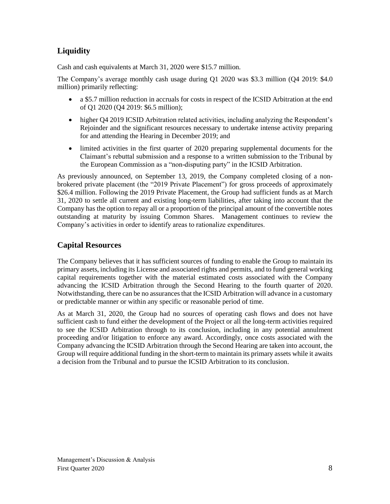# **Liquidity**

Cash and cash equivalents at March 31, 2020 were \$15.7 million.

The Company's average monthly cash usage during Q1 2020 was \$3.3 million (Q4 2019: \$4.0 million) primarily reflecting:

- a \$5.7 million reduction in accruals for costs in respect of the ICSID Arbitration at the end of Q1 2020 (Q4 2019: \$6.5 million);
- higher Q4 2019 ICSID Arbitration related activities, including analyzing the Respondent's Rejoinder and the significant resources necessary to undertake intense activity preparing for and attending the Hearing in December 2019; and
- limited activities in the first quarter of 2020 preparing supplemental documents for the Claimant's rebuttal submission and a response to a written submission to the Tribunal by the European Commission as a "non-disputing party" in the ICSID Arbitration.

As previously announced, on September 13, 2019, the Company completed closing of a nonbrokered private placement (the "2019 Private Placement") for gross proceeds of approximately \$26.4 million. Following the 2019 Private Placement, the Group had sufficient funds as at March 31, 2020 to settle all current and existing long-term liabilities, after taking into account that the Company has the option to repay all or a proportion of the principal amount of the convertible notes outstanding at maturity by issuing Common Shares. Management continues to review the Company's activities in order to identify areas to rationalize expenditures.

# **Capital Resources**

The Company believes that it has sufficient sources of funding to enable the Group to maintain its primary assets, including its License and associated rights and permits, and to fund general working capital requirements together with the material estimated costs associated with the Company advancing the ICSID Arbitration through the Second Hearing to the fourth quarter of 2020. Notwithstanding, there can be no assurances that the ICSID Arbitration will advance in a customary or predictable manner or within any specific or reasonable period of time.

As at March 31, 2020, the Group had no sources of operating cash flows and does not have sufficient cash to fund either the development of the Project or all the long-term activities required to see the ICSID Arbitration through to its conclusion, including in any potential annulment proceeding and/or litigation to enforce any award. Accordingly, once costs associated with the Company advancing the ICSID Arbitration through the Second Hearing are taken into account, the Group will require additional funding in the short-term to maintain its primary assets while it awaits a decision from the Tribunal and to pursue the ICSID Arbitration to its conclusion.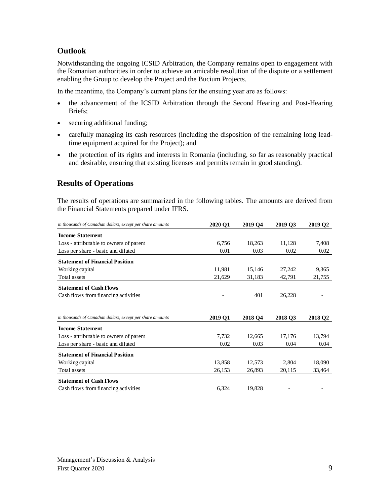# **Outlook**

Notwithstanding the ongoing ICSID Arbitration, the Company remains open to engagement with the Romanian authorities in order to achieve an amicable resolution of the dispute or a settlement enabling the Group to develop the Project and the Bucium Projects.

In the meantime, the Company's current plans for the ensuing year are as follows:

- the advancement of the ICSID Arbitration through the Second Hearing and Post-Hearing Briefs;
- securing additional funding;
- carefully managing its cash resources (including the disposition of the remaining long leadtime equipment acquired for the Project); and
- the protection of its rights and interests in Romania (including, so far as reasonably practical and desirable, ensuring that existing licenses and permits remain in good standing).

# **Results of Operations**

The results of operations are summarized in the following tables. The amounts are derived from the Financial Statements prepared under IFRS.

| in thousands of Canadian dollars, except per share amounts | 2020 Q1 | 2019 O <sub>4</sub> | 2019 O3 | 2019 Q2             |
|------------------------------------------------------------|---------|---------------------|---------|---------------------|
| <b>Income Statement</b>                                    |         |                     |         |                     |
| Loss - attributable to owners of parent                    | 6,756   | 18,263              | 11,128  | 7,408               |
| Loss per share - basic and diluted                         | 0.01    | 0.03                | 0.02    | 0.02                |
| <b>Statement of Financial Position</b>                     |         |                     |         |                     |
| Working capital                                            | 11,981  | 15,146              | 27,242  | 9,365               |
| Total assets                                               | 21,629  | 31,183              | 42,791  | 21,755              |
| <b>Statement of Cash Flows</b>                             |         |                     |         |                     |
| Cash flows from financing activities                       |         | 401                 | 26,228  |                     |
|                                                            |         |                     |         |                     |
| in thousands of Canadian dollars, except per share amounts | 2019 Q1 | 2018 Q4             | 2018 Q3 | 2018 Q <sub>2</sub> |
| <b>Income Statement</b>                                    |         |                     |         |                     |
| Loss - attributable to owners of parent                    | 7,732   | 12,665              | 17,176  | 13,794              |
| Loss per share - basic and diluted                         | 0.02    | 0.03                | 0.04    | 0.04                |
| <b>Statement of Financial Position</b>                     |         |                     |         |                     |
| Working capital                                            | 13,858  | 12,573              | 2,804   | 18,090              |
| Total assets                                               | 26,153  | 26,893              | 20,115  | 33,464              |
| <b>Statement of Cash Flows</b>                             |         |                     |         |                     |
| Cash flows from financing activities                       | 6,324   | 19,828              |         |                     |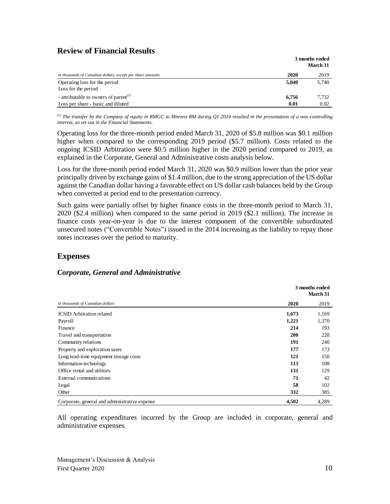# **Review of Financial Results**

|                                                            |       | 3 months ended<br>March 31 |
|------------------------------------------------------------|-------|----------------------------|
| in thousands of Canadian dollars, except per share amounts | 2020  | 2019                       |
| Operating loss for the period                              | 5.840 | 5,740                      |
| Loss for the period                                        |       |                            |
| - attributable to owners of parent <sup>(1)</sup>          | 6,756 | 7.732                      |
| Loss per share - basic and diluted                         | 0.01  | 0.02                       |

*(1) The transfer by the Company of equity in RMGC to Minvest RM during Q1 2014 resulted in the presentation of a non-controlling interest, as set out in the Financial Statements.*

Operating loss for the three-month period ended March 31, 2020 of \$5.8 million was \$0.1 million higher when compared to the corresponding 2019 period (\$5.7 million). Costs related to the ongoing ICSID Arbitration were \$0.5 million higher in the 2020 period compared to 2019, as explained in the Corporate, General and Administrative costs analysis below.

Loss for the three-month period ended March 31, 2020 was \$0.9 million lower than the prior year principally driven by exchange gains of \$1.4 million, due to the strong appreciation of the US dollar against the Canadian dollar having a favorable effect on US dollar cash balances held by the Group when converted at period end to the presentation currency.

Such gains were partially offset by higher finance costs in the three-month period to March 31, 2020 (\$2.4 million) when compared to the same period in 2019 (\$2.1 million). The increase in finance costs year-on-year is due to the interest component of the convertible subordinated unsecured notes ("Convertible Notes") issued in the 2014 increasing as the liability to repay those notes increases over the period to maturity.

# **Expenses**

## *Corporate, General and Administrative*

|                                               |       | 3 months ended<br>March 31 |
|-----------------------------------------------|-------|----------------------------|
| in thousands of Canadian dollars              | 2020  | 2019                       |
| <b>ICSID</b> Arbitration related              | 1,673 | 1,169                      |
| Payroll                                       | 1,221 | 1,370                      |
| Finance                                       | 214   | 193                        |
| Travel and transportation                     | 200   | 228                        |
| Community relations                           | 191   | 240                        |
| Property and exploration taxes                | 177   | 173                        |
| Long lead-time equipment storage costs        | 121   | 150                        |
| Information technology                        | 113   | 108                        |
| Office rental and utilities                   | 131   | 129                        |
| External communications                       | 71    | 42                         |
| Legal                                         | 58    | 102                        |
| Other                                         | 332   | 385                        |
| Corporate, general and administrative expense | 4.502 | 4,289                      |

All operating expenditures incurred by the Group are included in corporate, general and administrative expenses.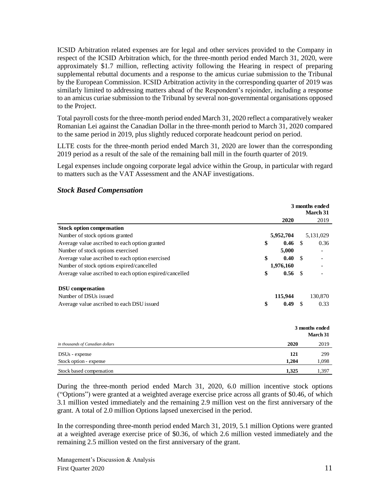ICSID Arbitration related expenses are for legal and other services provided to the Company in respect of the ICSID Arbitration which, for the three-month period ended March 31, 2020, were approximately \$1.7 million, reflecting activity following the Hearing in respect of preparing supplemental rebuttal documents and a response to the amicus curiae submission to the Tribunal by the European Commission. ICSID Arbitration activity in the corresponding quarter of 2019 was similarly limited to addressing matters ahead of the Respondent's rejoinder, including a response to an amicus curiae submission to the Tribunal by several non-governmental organisations opposed to the Project.

Total payroll costs for the three-month period ended March 31, 2020 reflect a comparatively weaker Romanian Lei against the Canadian Dollar in the three-month period to March 31, 2020 compared to the same period in 2019, plus slightly reduced corporate headcount period on period.

LLTE costs for the three-month period ended March 31, 2020 are lower than the corresponding 2019 period as a result of the sale of the remaining ball mill in the fourth quarter of 2019.

Legal expenses include ongoing corporate legal advice within the Group, in particular with regard to matters such as the VAT Assessment and the ANAF investigations.

|                                                         | 3 months ended<br>March 31 |           |               |                            |
|---------------------------------------------------------|----------------------------|-----------|---------------|----------------------------|
|                                                         |                            | 2020      |               | 2019                       |
| <b>Stock option compensation</b>                        |                            |           |               |                            |
| Number of stock options granted                         |                            | 5,952,704 |               | 5,131,029                  |
| Average value ascribed to each option granted           | \$                         | 0.46      | -\$           | 0.36                       |
| Number of stock options exercised                       |                            | 5,000     |               |                            |
| Average value ascribed to each option exercised         | \$                         | 0.40      | <sup>\$</sup> |                            |
| Number of stock options expired/cancelled               |                            | 1,976,160 |               |                            |
| Average value ascribed to each option expired/cancelled | \$                         | 0.56      | -\$           |                            |
| <b>DSU</b> compensation                                 |                            |           |               |                            |
| Number of DSUs issued                                   |                            | 115,944   |               | 130,870                    |
| Average value ascribed to each DSU issued               | \$                         | 0.49      | -\$           | 0.33                       |
|                                                         |                            |           |               |                            |
|                                                         |                            |           |               | 3 months ended<br>March 31 |
| in thousands of Canadian dollars                        |                            | 2020      |               | 2019                       |
| DSU <sub>s</sub> - expense                              |                            | 121       |               | 299                        |
| Stock option - expense                                  |                            | 1,204     |               | 1,098                      |

### *Stock Based Compensation*

During the three-month period ended March 31, 2020, 6.0 million incentive stock options ("Options") were granted at a weighted average exercise price across all grants of \$0.46, of which 3.1 million vested immediately and the remaining 2.9 million vest on the first anniversary of the grant. A total of 2.0 million Options lapsed unexercised in the period.

Stock based compensation **1,325** 1,397

In the corresponding three-month period ended March 31, 2019, 5.1 million Options were granted at a weighted average exercise price of \$0.36, of which 2.6 million vested immediately and the remaining 2.5 million vested on the first anniversary of the grant.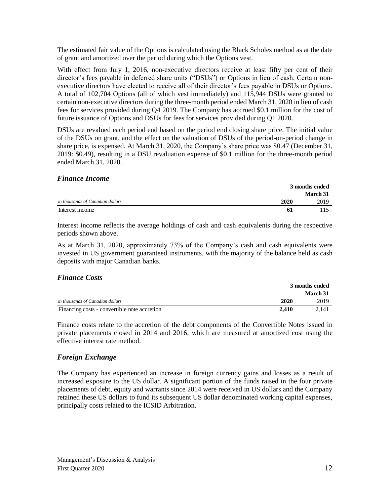The estimated fair value of the Options is calculated using the Black Scholes method as at the date of grant and amortized over the period during which the Options vest.

With effect from July 1, 2016, non-executive directors receive at least fifty per cent of their director's fees payable in deferred share units ("DSUs") or Options in lieu of cash. Certain nonexecutive directors have elected to receive all of their director's fees payable in DSUs or Options. A total of 102,704 Options (all of which vest immediately) and 115,944 DSUs were granted to certain non-executive directors during the three-month period ended March 31, 2020 in lieu of cash fees for services provided during Q4 2019. The Company has accrued \$0.1 million for the cost of future issuance of Options and DSUs for fees for services provided during Q1 2020.

DSUs are revalued each period end based on the period end closing share price. The initial value of the DSUs on grant, and the effect on the valuation of DSUs of the period-on-period change in share price, is expensed. At March 31, 2020, the Company's share price was \$0.47 (December 31, 2019: \$0.49), resulting in a DSU revaluation expense of \$0.1 million for the three-month period ended March 31, 2020.

### *Finance Income*

|                                  |      | 3 months ended |
|----------------------------------|------|----------------|
|                                  |      | March 31       |
| in thousands of Canadian dollars | 2020 | 2019           |
| Interest income                  | -61  |                |

Interest income reflects the average holdings of cash and cash equivalents during the respective periods shown above.

As at March 31, 2020, approximately 73% of the Company's cash and cash equivalents were invested in US government guaranteed instruments, with the majority of the balance held as cash deposits with major Canadian banks.

### *Finance Costs*

|                                              |       | 3 months ended  |
|----------------------------------------------|-------|-----------------|
|                                              |       | <b>March</b> 31 |
| in thousands of Canadian dollars             | 2020  | 2019            |
| Financing costs - convertible note accretion | 2.410 | 2.141           |

Finance costs relate to the accretion of the debt components of the Convertible Notes issued in private placements closed in 2014 and 2016, which are measured at amortized cost using the effective interest rate method.

# *Foreign Exchange*

The Company has experienced an increase in foreign currency gains and losses as a result of increased exposure to the US dollar. A significant portion of the funds raised in the four private placements of debt, equity and warrants since 2014 were received in US dollars and the Company retained these US dollars to fund its subsequent US dollar denominated working capital expenses, principally costs related to the ICSID Arbitration.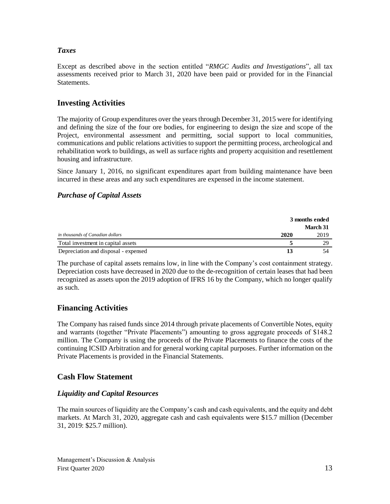# *Taxes*

Except as described above in the section entitled "*RMGC Audits and Investigations*", all tax assessments received prior to March 31, 2020 have been paid or provided for in the Financial **Statements** 

# **Investing Activities**

The majority of Group expenditures over the years through December 31, 2015 were for identifying and defining the size of the four ore bodies, for engineering to design the size and scope of the Project, environmental assessment and permitting, social support to local communities, communications and public relations activities to support the permitting process, archeological and rehabilitation work to buildings, as well as surface rights and property acquisition and resettlement housing and infrastructure.

Since January 1, 2016, no significant expenditures apart from building maintenance have been incurred in these areas and any such expenditures are expensed in the income statement.

## *Purchase of Capital Assets*

|                                      |      | 3 months ended  |  |
|--------------------------------------|------|-----------------|--|
|                                      |      | <b>March 31</b> |  |
| in thousands of Canadian dollars     | 2020 | 2019            |  |
| Total investment in capital assets   |      | 29              |  |
| Depreciation and disposal - expensed |      |                 |  |

The purchase of capital assets remains low, in line with the Company's cost containment strategy. Depreciation costs have decreased in 2020 due to the de-recognition of certain leases that had been recognized as assets upon the 2019 adoption of IFRS 16 by the Company, which no longer qualify as such.

# **Financing Activities**

The Company has raised funds since 2014 through private placements of Convertible Notes, equity and warrants (together "Private Placements") amounting to gross aggregate proceeds of \$148.2 million. The Company is using the proceeds of the Private Placements to finance the costs of the continuing ICSID Arbitration and for general working capital purposes. Further information on the Private Placements is provided in the Financial Statements.

# **Cash Flow Statement**

## *Liquidity and Capital Resources*

The main sources of liquidity are the Company's cash and cash equivalents, and the equity and debt markets. At March 31, 2020, aggregate cash and cash equivalents were \$15.7 million (December 31, 2019: \$25.7 million).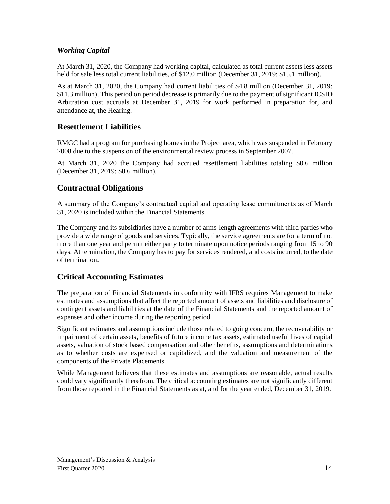# *Working Capital*

At March 31, 2020, the Company had working capital, calculated as total current assets less assets held for sale less total current liabilities, of \$12.0 million (December 31, 2019: \$15.1 million).

As at March 31, 2020, the Company had current liabilities of \$4.8 million (December 31, 2019: \$11.3 million). This period on period decrease is primarily due to the payment of significant ICSID Arbitration cost accruals at December 31, 2019 for work performed in preparation for, and attendance at, the Hearing.

# **Resettlement Liabilities**

RMGC had a program for purchasing homes in the Project area, which was suspended in February 2008 due to the suspension of the environmental review process in September 2007.

At March 31, 2020 the Company had accrued resettlement liabilities totaling \$0.6 million (December 31, 2019: \$0.6 million).

# **Contractual Obligations**

A summary of the Company's contractual capital and operating lease commitments as of March 31, 2020 is included within the Financial Statements.

The Company and its subsidiaries have a number of arms-length agreements with third parties who provide a wide range of goods and services. Typically, the service agreements are for a term of not more than one year and permit either party to terminate upon notice periods ranging from 15 to 90 days. At termination, the Company has to pay for services rendered, and costs incurred, to the date of termination.

# **Critical Accounting Estimates**

The preparation of Financial Statements in conformity with IFRS requires Management to make estimates and assumptions that affect the reported amount of assets and liabilities and disclosure of contingent assets and liabilities at the date of the Financial Statements and the reported amount of expenses and other income during the reporting period.

Significant estimates and assumptions include those related to going concern, the recoverability or impairment of certain assets, benefits of future income tax assets, estimated useful lives of capital assets, valuation of stock based compensation and other benefits, assumptions and determinations as to whether costs are expensed or capitalized, and the valuation and measurement of the components of the Private Placements.

While Management believes that these estimates and assumptions are reasonable, actual results could vary significantly therefrom. The critical accounting estimates are not significantly different from those reported in the Financial Statements as at, and for the year ended, December 31, 2019.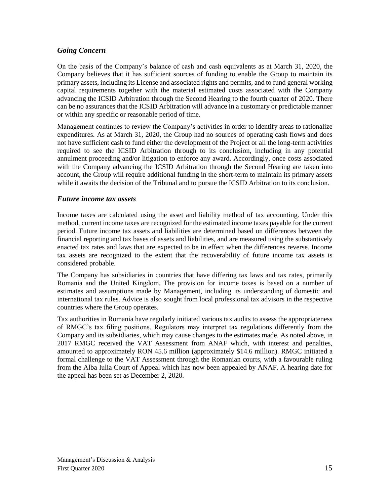## *Going Concern*

On the basis of the Company's balance of cash and cash equivalents as at March 31, 2020, the Company believes that it has sufficient sources of funding to enable the Group to maintain its primary assets, including its License and associated rights and permits, and to fund general working capital requirements together with the material estimated costs associated with the Company advancing the ICSID Arbitration through the Second Hearing to the fourth quarter of 2020. There can be no assurances that the ICSID Arbitration will advance in a customary or predictable manner or within any specific or reasonable period of time.

Management continues to review the Company's activities in order to identify areas to rationalize expenditures. As at March 31, 2020, the Group had no sources of operating cash flows and does not have sufficient cash to fund either the development of the Project or all the long-term activities required to see the ICSID Arbitration through to its conclusion, including in any potential annulment proceeding and/or litigation to enforce any award. Accordingly, once costs associated with the Company advancing the ICSID Arbitration through the Second Hearing are taken into account, the Group will require additional funding in the short-term to maintain its primary assets while it awaits the decision of the Tribunal and to pursue the ICSID Arbitration to its conclusion.

## *Future income tax assets*

Income taxes are calculated using the asset and liability method of tax accounting. Under this method, current income taxes are recognized for the estimated income taxes payable for the current period. Future income tax assets and liabilities are determined based on differences between the financial reporting and tax bases of assets and liabilities, and are measured using the substantively enacted tax rates and laws that are expected to be in effect when the differences reverse. Income tax assets are recognized to the extent that the recoverability of future income tax assets is considered probable.

The Company has subsidiaries in countries that have differing tax laws and tax rates, primarily Romania and the United Kingdom. The provision for income taxes is based on a number of estimates and assumptions made by Management, including its understanding of domestic and international tax rules. Advice is also sought from local professional tax advisors in the respective countries where the Group operates.

Tax authorities in Romania have regularly initiated various tax audits to assess the appropriateness of RMGC's tax filing positions. Regulators may interpret tax regulations differently from the Company and its subsidiaries, which may cause changes to the estimates made. As noted above, in 2017 RMGC received the VAT Assessment from ANAF which, with interest and penalties, amounted to approximately RON 45.6 million (approximately \$14.6 million). RMGC initiated a formal challenge to the VAT Assessment through the Romanian courts, with a favourable ruling from the Alba Iulia Court of Appeal which has now been appealed by ANAF. A hearing date for the appeal has been set as December 2, 2020.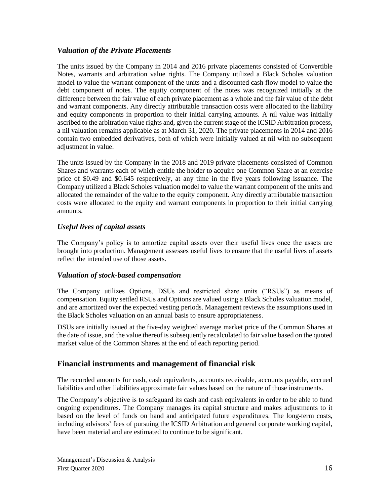## *Valuation of the Private Placements*

The units issued by the Company in 2014 and 2016 private placements consisted of Convertible Notes, warrants and arbitration value rights. The Company utilized a Black Scholes valuation model to value the warrant component of the units and a discounted cash flow model to value the debt component of notes. The equity component of the notes was recognized initially at the difference between the fair value of each private placement as a whole and the fair value of the debt and warrant components. Any directly attributable transaction costs were allocated to the liability and equity components in proportion to their initial carrying amounts. A nil value was initially ascribed to the arbitration value rights and, given the current stage of the ICSID Arbitration process, a nil valuation remains applicable as at March 31, 2020. The private placements in 2014 and 2016 contain two embedded derivatives, both of which were initially valued at nil with no subsequent adjustment in value.

The units issued by the Company in the 2018 and 2019 private placements consisted of Common Shares and warrants each of which entitle the holder to acquire one Common Share at an exercise price of \$0.49 and \$0.645 respectively, at any time in the five years following issuance. The Company utilized a Black Scholes valuation model to value the warrant component of the units and allocated the remainder of the value to the equity component. Any directly attributable transaction costs were allocated to the equity and warrant components in proportion to their initial carrying amounts.

# *Useful lives of capital assets*

The Company's policy is to amortize capital assets over their useful lives once the assets are brought into production. Management assesses useful lives to ensure that the useful lives of assets reflect the intended use of those assets.

## *Valuation of stock-based compensation*

The Company utilizes Options, DSUs and restricted share units ("RSUs") as means of compensation. Equity settled RSUs and Options are valued using a Black Scholes valuation model, and are amortized over the expected vesting periods. Management reviews the assumptions used in the Black Scholes valuation on an annual basis to ensure appropriateness.

DSUs are initially issued at the five-day weighted average market price of the Common Shares at the date of issue, and the value thereof is subsequently recalculated to fair value based on the quoted market value of the Common Shares at the end of each reporting period.

# **Financial instruments and management of financial risk**

The recorded amounts for cash, cash equivalents, accounts receivable, accounts payable, accrued liabilities and other liabilities approximate fair values based on the nature of those instruments.

The Company's objective is to safeguard its cash and cash equivalents in order to be able to fund ongoing expenditures. The Company manages its capital structure and makes adjustments to it based on the level of funds on hand and anticipated future expenditures. The long-term costs, including advisors' fees of pursuing the ICSID Arbitration and general corporate working capital, have been material and are estimated to continue to be significant.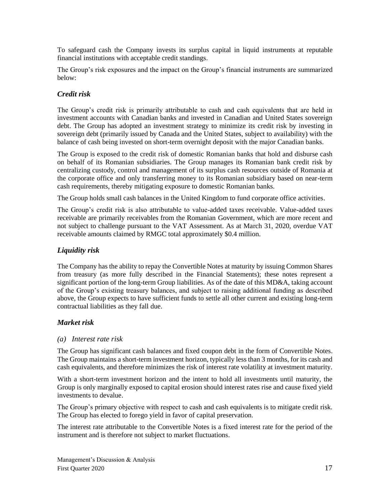To safeguard cash the Company invests its surplus capital in liquid instruments at reputable financial institutions with acceptable credit standings.

The Group's risk exposures and the impact on the Group's financial instruments are summarized below:

## *Credit risk*

The Group's credit risk is primarily attributable to cash and cash equivalents that are held in investment accounts with Canadian banks and invested in Canadian and United States sovereign debt. The Group has adopted an investment strategy to minimize its credit risk by investing in sovereign debt (primarily issued by Canada and the United States, subject to availability) with the balance of cash being invested on short-term overnight deposit with the major Canadian banks.

The Group is exposed to the credit risk of domestic Romanian banks that hold and disburse cash on behalf of its Romanian subsidiaries. The Group manages its Romanian bank credit risk by centralizing custody, control and management of its surplus cash resources outside of Romania at the corporate office and only transferring money to its Romanian subsidiary based on near-term cash requirements, thereby mitigating exposure to domestic Romanian banks.

The Group holds small cash balances in the United Kingdom to fund corporate office activities.

The Group's credit risk is also attributable to value-added taxes receivable. Value-added taxes receivable are primarily receivables from the Romanian Government, which are more recent and not subject to challenge pursuant to the VAT Assessment. As at March 31, 2020, overdue VAT receivable amounts claimed by RMGC total approximately \$0.4 million.

# *Liquidity risk*

The Company has the ability to repay the Convertible Notes at maturity by issuing Common Shares from treasury (as more fully described in the Financial Statements); these notes represent a significant portion of the long-term Group liabilities. As of the date of this MD&A, taking account of the Group's existing treasury balances, and subject to raising additional funding as described above, the Group expects to have sufficient funds to settle all other current and existing long-term contractual liabilities as they fall due.

## *Market risk*

## *(a) Interest rate risk*

The Group has significant cash balances and fixed coupon debt in the form of Convertible Notes. The Group maintains a short-term investment horizon, typically less than 3 months, for its cash and cash equivalents, and therefore minimizes the risk of interest rate volatility at investment maturity.

With a short-term investment horizon and the intent to hold all investments until maturity, the Group is only marginally exposed to capital erosion should interest rates rise and cause fixed yield investments to devalue.

The Group's primary objective with respect to cash and cash equivalents is to mitigate credit risk. The Group has elected to forego yield in favor of capital preservation.

The interest rate attributable to the Convertible Notes is a fixed interest rate for the period of the instrument and is therefore not subject to market fluctuations.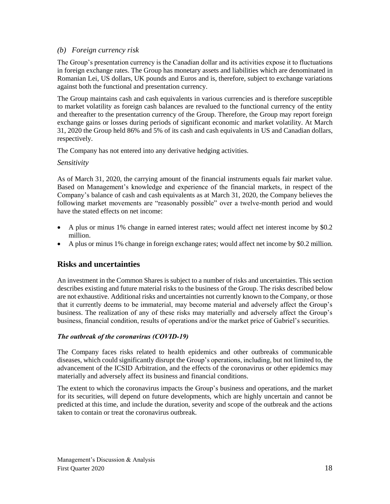## *(b) Foreign currency risk*

The Group's presentation currency is the Canadian dollar and its activities expose it to fluctuations in foreign exchange rates. The Group has monetary assets and liabilities which are denominated in Romanian Lei, US dollars, UK pounds and Euros and is, therefore, subject to exchange variations against both the functional and presentation currency.

The Group maintains cash and cash equivalents in various currencies and is therefore susceptible to market volatility as foreign cash balances are revalued to the functional currency of the entity and thereafter to the presentation currency of the Group. Therefore, the Group may report foreign exchange gains or losses during periods of significant economic and market volatility. At March 31, 2020 the Group held 86% and 5% of its cash and cash equivalents in US and Canadian dollars, respectively.

The Company has not entered into any derivative hedging activities.

### *Sensitivity*

As of March 31, 2020, the carrying amount of the financial instruments equals fair market value. Based on Management's knowledge and experience of the financial markets, in respect of the Company's balance of cash and cash equivalents as at March 31, 2020, the Company believes the following market movements are "reasonably possible" over a twelve-month period and would have the stated effects on net income:

- A plus or minus 1% change in earned interest rates; would affect net interest income by \$0.2 million.
- A plus or minus 1% change in foreign exchange rates; would affect net income by \$0.2 million.

# **Risks and uncertainties**

An investment in the Common Shares is subject to a number of risks and uncertainties. This section describes existing and future material risks to the business of the Group. The risks described below are not exhaustive. Additional risks and uncertainties not currently known to the Company, or those that it currently deems to be immaterial, may become material and adversely affect the Group's business. The realization of any of these risks may materially and adversely affect the Group's business, financial condition, results of operations and/or the market price of Gabriel's securities.

## *The outbreak of the coronavirus (COVID‐19)*

The Company faces risks related to health epidemics and other outbreaks of communicable diseases, which could significantly disrupt the Group's operations, including, but not limited to, the advancement of the ICSID Arbitration, and the effects of the coronavirus or other epidemics may materially and adversely affect its business and financial conditions.

The extent to which the coronavirus impacts the Group's business and operations, and the market for its securities, will depend on future developments, which are highly uncertain and cannot be predicted at this time, and include the duration, severity and scope of the outbreak and the actions taken to contain or treat the coronavirus outbreak.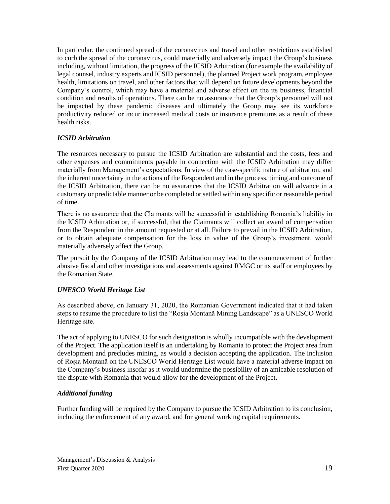In particular, the continued spread of the coronavirus and travel and other restrictions established to curb the spread of the coronavirus, could materially and adversely impact the Group's business including, without limitation, the progress of the ICSID Arbitration (for example the availability of legal counsel, industry experts and ICSID personnel), the planned Project work program, employee health, limitations on travel, and other factors that will depend on future developments beyond the Company's control, which may have a material and adverse effect on the its business, financial condition and results of operations. There can be no assurance that the Group's personnel will not be impacted by these pandemic diseases and ultimately the Group may see its workforce productivity reduced or incur increased medical costs or insurance premiums as a result of these health risks.

## *ICSID Arbitration*

The resources necessary to pursue the ICSID Arbitration are substantial and the costs, fees and other expenses and commitments payable in connection with the ICSID Arbitration may differ materially from Management's expectations. In view of the case-specific nature of arbitration, and the inherent uncertainty in the actions of the Respondent and in the process, timing and outcome of the ICSID Arbitration, there can be no assurances that the ICSID Arbitration will advance in a customary or predictable manner or be completed or settled within any specific or reasonable period of time.

There is no assurance that the Claimants will be successful in establishing Romania's liability in the ICSID Arbitration or, if successful, that the Claimants will collect an award of compensation from the Respondent in the amount requested or at all. Failure to prevail in the ICSID Arbitration, or to obtain adequate compensation for the loss in value of the Group's investment, would materially adversely affect the Group.

The pursuit by the Company of the ICSID Arbitration may lead to the commencement of further abusive fiscal and other investigations and assessments against RMGC or its staff or employees by the Romanian State.

### *UNESCO World Heritage List*

As described above, on January 31, 2020, the Romanian Government indicated that it had taken steps to resume the procedure to list the "Roşia Montană Mining Landscape" as a UNESCO World Heritage site.

The act of applying to UNESCO for such designation is wholly incompatible with the development of the Project. The application itself is an undertaking by Romania to protect the Project area from development and precludes mining, as would a decision accepting the application. The inclusion of Roșia Montană on the UNESCO World Heritage List would have a material adverse impact on the Company's business insofar as it would undermine the possibility of an amicable resolution of the dispute with Romania that would allow for the development of the Project.

### *Additional funding*

Further funding will be required by the Company to pursue the ICSID Arbitration to its conclusion, including the enforcement of any award, and for general working capital requirements.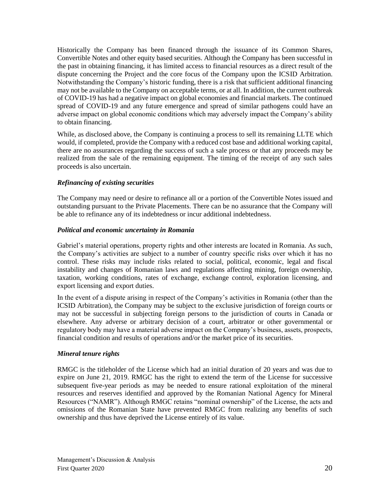Historically the Company has been financed through the issuance of its Common Shares, Convertible Notes and other equity based securities. Although the Company has been successful in the past in obtaining financing, it has limited access to financial resources as a direct result of the dispute concerning the Project and the core focus of the Company upon the ICSID Arbitration. Notwithstanding the Company's historic funding, there is a risk that sufficient additional financing may not be available to the Company on acceptable terms, or at all. In addition, the current outbreak of COVID-19 has had a negative impact on global economies and financial markets. The continued spread of COVID-19 and any future emergence and spread of similar pathogens could have an adverse impact on global economic conditions which may adversely impact the Company's ability to obtain financing.

While, as disclosed above, the Company is continuing a process to sell its remaining LLTE which would, if completed, provide the Company with a reduced cost base and additional working capital, there are no assurances regarding the success of such a sale process or that any proceeds may be realized from the sale of the remaining equipment. The timing of the receipt of any such sales proceeds is also uncertain.

### *Refinancing of existing securities*

The Company may need or desire to refinance all or a portion of the Convertible Notes issued and outstanding pursuant to the Private Placements. There can be no assurance that the Company will be able to refinance any of its indebtedness or incur additional indebtedness.

### *Political and economic uncertainty in Romania*

Gabriel's material operations, property rights and other interests are located in Romania. As such, the Company's activities are subject to a number of country specific risks over which it has no control. These risks may include risks related to social, political, economic, legal and fiscal instability and changes of Romanian laws and regulations affecting mining, foreign ownership, taxation, working conditions, rates of exchange, exchange control, exploration licensing, and export licensing and export duties.

In the event of a dispute arising in respect of the Company's activities in Romania (other than the ICSID Arbitration), the Company may be subject to the exclusive jurisdiction of foreign courts or may not be successful in subjecting foreign persons to the jurisdiction of courts in Canada or elsewhere. Any adverse or arbitrary decision of a court, arbitrator or other governmental or regulatory body may have a material adverse impact on the Company's business, assets, prospects, financial condition and results of operations and/or the market price of its securities.

### *Mineral tenure rights*

RMGC is the titleholder of the License which had an initial duration of 20 years and was due to expire on June 21, 2019. RMGC has the right to extend the term of the License for successive subsequent five-year periods as may be needed to ensure rational exploitation of the mineral resources and reserves identified and approved by the Romanian National Agency for Mineral Resources ("NAMR"). Although RMGC retains "nominal ownership" of the License, the acts and omissions of the Romanian State have prevented RMGC from realizing any benefits of such ownership and thus have deprived the License entirely of its value.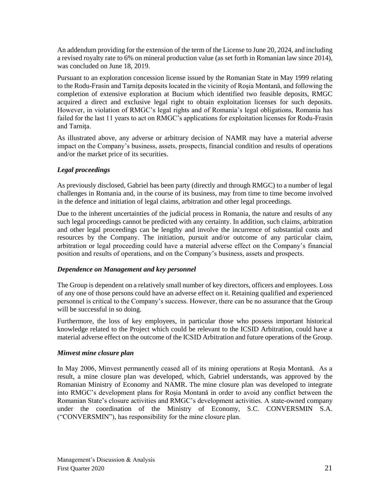An addendum providing for the extension of the term of the License to June 20, 2024, and including a revised royalty rate to 6% on mineral production value (as set forth in Romanian law since 2014), was concluded on June 18, 2019.

Pursuant to an exploration concession license issued by the Romanian State in May 1999 relating to the Rodu-Frasin and Tarniţa deposits located in the vicinity of Roşia Montană, and following the completion of extensive exploration at Bucium which identified two feasible deposits, RMGC acquired a direct and exclusive legal right to obtain exploitation licenses for such deposits. However, in violation of RMGC's legal rights and of Romania's legal obligations, Romania has failed for the last 11 years to act on RMGC's applications for exploitation licenses for Rodu-Frasin and Tarnita.

As illustrated above, any adverse or arbitrary decision of NAMR may have a material adverse impact on the Company's business, assets, prospects, financial condition and results of operations and/or the market price of its securities.

## *Legal proceedings*

As previously disclosed, Gabriel has been party (directly and through RMGC) to a number of legal challenges in Romania and, in the course of its business, may from time to time become involved in the defence and initiation of legal claims, arbitration and other legal proceedings.

Due to the inherent uncertainties of the judicial process in Romania, the nature and results of any such legal proceedings cannot be predicted with any certainty. In addition, such claims, arbitration and other legal proceedings can be lengthy and involve the incurrence of substantial costs and resources by the Company. The initiation, pursuit and/or outcome of any particular claim, arbitration or legal proceeding could have a material adverse effect on the Company's financial position and results of operations, and on the Company's business, assets and prospects.

### *Dependence on Management and key personnel*

The Group is dependent on a relatively small number of key directors, officers and employees. Loss of any one of those persons could have an adverse effect on it. Retaining qualified and experienced personnel is critical to the Company's success. However, there can be no assurance that the Group will be successful in so doing.

Furthermore, the loss of key employees, in particular those who possess important historical knowledge related to the Project which could be relevant to the ICSID Arbitration, could have a material adverse effect on the outcome of the ICSID Arbitration and future operations of the Group.

### *Minvest mine closure plan*

In May 2006, Minvest permanently ceased all of its mining operations at Roșia Montană. As a result, a mine closure plan was developed, which, Gabriel understands, was approved by the Romanian Ministry of Economy and NAMR. The mine closure plan was developed to integrate into RMGC's development plans for Roșia Montană in order to avoid any conflict between the Romanian State's closure activities and RMGC's development activities. A state-owned company under the coordination of the Ministry of Economy, S.C. CONVERSMIN S.A. ("CONVERSMIN"), has responsibility for the mine closure plan.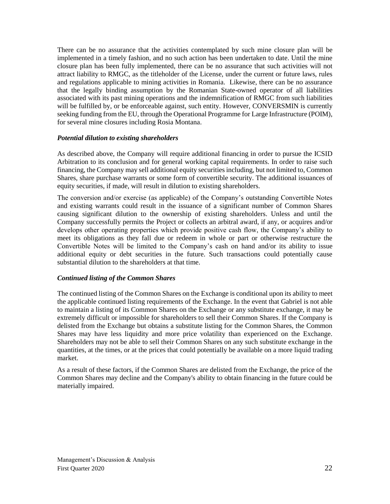There can be no assurance that the activities contemplated by such mine closure plan will be implemented in a timely fashion, and no such action has been undertaken to date. Until the mine closure plan has been fully implemented, there can be no assurance that such activities will not attract liability to RMGC, as the titleholder of the License, under the current or future laws, rules and regulations applicable to mining activities in Romania. Likewise, there can be no assurance that the legally binding assumption by the Romanian State-owned operator of all liabilities associated with its past mining operations and the indemnification of RMGC from such liabilities will be fulfilled by, or be enforceable against, such entity. However, CONVERSMIN is currently seeking funding from the EU, through the Operational Programme for Large Infrastructure (POIM), for several mine closures including Rosia Montana.

### *Potential dilution to existing shareholders*

As described above, the Company will require additional financing in order to pursue the ICSID Arbitration to its conclusion and for general working capital requirements. In order to raise such financing, the Company may sell additional equity securities including, but not limited to, Common Shares, share purchase warrants or some form of convertible security. The additional issuances of equity securities, if made, will result in dilution to existing shareholders.

The conversion and/or exercise (as applicable) of the Company's outstanding Convertible Notes and existing warrants could result in the issuance of a significant number of Common Shares causing significant dilution to the ownership of existing shareholders. Unless and until the Company successfully permits the Project or collects an arbitral award, if any, or acquires and/or develops other operating properties which provide positive cash flow, the Company's ability to meet its obligations as they fall due or redeem in whole or part or otherwise restructure the Convertible Notes will be limited to the Company's cash on hand and/or its ability to issue additional equity or debt securities in the future. Such transactions could potentially cause substantial dilution to the shareholders at that time.

### *Continued listing of the Common Shares*

The continued listing of the Common Shares on the Exchange is conditional upon its ability to meet the applicable continued listing requirements of the Exchange. In the event that Gabriel is not able to maintain a listing of its Common Shares on the Exchange or any substitute exchange, it may be extremely difficult or impossible for shareholders to sell their Common Shares. If the Company is delisted from the Exchange but obtains a substitute listing for the Common Shares, the Common Shares may have less liquidity and more price volatility than experienced on the Exchange. Shareholders may not be able to sell their Common Shares on any such substitute exchange in the quantities, at the times, or at the prices that could potentially be available on a more liquid trading market.

As a result of these factors, if the Common Shares are delisted from the Exchange, the price of the Common Shares may decline and the Company's ability to obtain financing in the future could be materially impaired.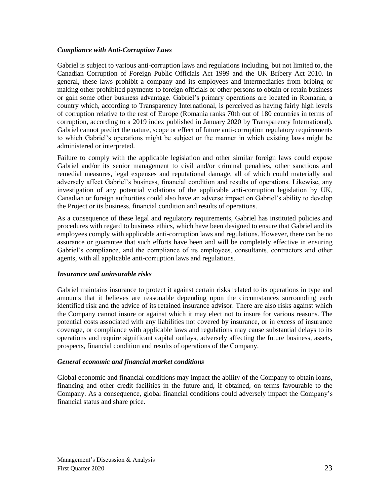### *Compliance with Anti-Corruption Laws*

Gabriel is subject to various anti-corruption laws and regulations including, but not limited to, the Canadian Corruption of Foreign Public Officials Act 1999 and the UK Bribery Act 2010. In general, these laws prohibit a company and its employees and intermediaries from bribing or making other prohibited payments to foreign officials or other persons to obtain or retain business or gain some other business advantage. Gabriel's primary operations are located in Romania, a country which, according to Transparency International, is perceived as having fairly high levels of corruption relative to the rest of Europe (Romania ranks 70th out of 180 countries in terms of corruption, according to a 2019 index published in January 2020 by Transparency International). Gabriel cannot predict the nature, scope or effect of future anti-corruption regulatory requirements to which Gabriel's operations might be subject or the manner in which existing laws might be administered or interpreted.

Failure to comply with the applicable legislation and other similar foreign laws could expose Gabriel and/or its senior management to civil and/or criminal penalties, other sanctions and remedial measures, legal expenses and reputational damage, all of which could materially and adversely affect Gabriel's business, financial condition and results of operations. Likewise, any investigation of any potential violations of the applicable anti-corruption legislation by UK, Canadian or foreign authorities could also have an adverse impact on Gabriel's ability to develop the Project or its business, financial condition and results of operations.

As a consequence of these legal and regulatory requirements, Gabriel has instituted policies and procedures with regard to business ethics, which have been designed to ensure that Gabriel and its employees comply with applicable anti-corruption laws and regulations. However, there can be no assurance or guarantee that such efforts have been and will be completely effective in ensuring Gabriel's compliance, and the compliance of its employees, consultants, contractors and other agents, with all applicable anti-corruption laws and regulations.

### *Insurance and uninsurable risks*

Gabriel maintains insurance to protect it against certain risks related to its operations in type and amounts that it believes are reasonable depending upon the circumstances surrounding each identified risk and the advice of its retained insurance advisor. There are also risks against which the Company cannot insure or against which it may elect not to insure for various reasons. The potential costs associated with any liabilities not covered by insurance, or in excess of insurance coverage, or compliance with applicable laws and regulations may cause substantial delays to its operations and require significant capital outlays, adversely affecting the future business, assets, prospects, financial condition and results of operations of the Company.

### *General economic and financial market conditions*

Global economic and financial conditions may impact the ability of the Company to obtain loans, financing and other credit facilities in the future and, if obtained, on terms favourable to the Company. As a consequence, global financial conditions could adversely impact the Company's financial status and share price.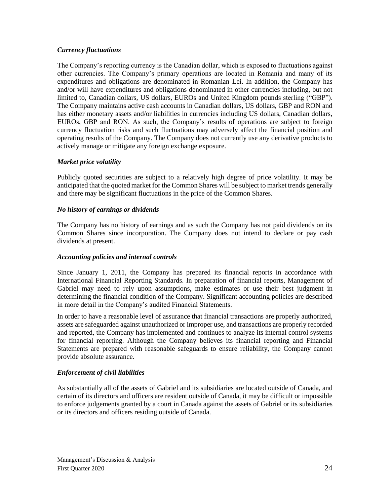### *Currency fluctuations*

The Company's reporting currency is the Canadian dollar, which is exposed to fluctuations against other currencies. The Company's primary operations are located in Romania and many of its expenditures and obligations are denominated in Romanian Lei. In addition, the Company has and/or will have expenditures and obligations denominated in other currencies including, but not limited to, Canadian dollars, US dollars, EUROs and United Kingdom pounds sterling ("GBP"). The Company maintains active cash accounts in Canadian dollars, US dollars, GBP and RON and has either monetary assets and/or liabilities in currencies including US dollars, Canadian dollars, EUROs, GBP and RON. As such, the Company's results of operations are subject to foreign currency fluctuation risks and such fluctuations may adversely affect the financial position and operating results of the Company. The Company does not currently use any derivative products to actively manage or mitigate any foreign exchange exposure.

### *Market price volatility*

Publicly quoted securities are subject to a relatively high degree of price volatility. It may be anticipated that the quoted market for the Common Shares will be subject to market trends generally and there may be significant fluctuations in the price of the Common Shares.

### *No history of earnings or dividends*

The Company has no history of earnings and as such the Company has not paid dividends on its Common Shares since incorporation. The Company does not intend to declare or pay cash dividends at present.

### *Accounting policies and internal controls*

Since January 1, 2011, the Company has prepared its financial reports in accordance with International Financial Reporting Standards. In preparation of financial reports, Management of Gabriel may need to rely upon assumptions, make estimates or use their best judgment in determining the financial condition of the Company. Significant accounting policies are described in more detail in the Company's audited Financial Statements.

In order to have a reasonable level of assurance that financial transactions are properly authorized, assets are safeguarded against unauthorized or improper use, and transactions are properly recorded and reported, the Company has implemented and continues to analyze its internal control systems for financial reporting. Although the Company believes its financial reporting and Financial Statements are prepared with reasonable safeguards to ensure reliability, the Company cannot provide absolute assurance.

## *Enforcement of civil liabilities*

As substantially all of the assets of Gabriel and its subsidiaries are located outside of Canada, and certain of its directors and officers are resident outside of Canada, it may be difficult or impossible to enforce judgements granted by a court in Canada against the assets of Gabriel or its subsidiaries or its directors and officers residing outside of Canada.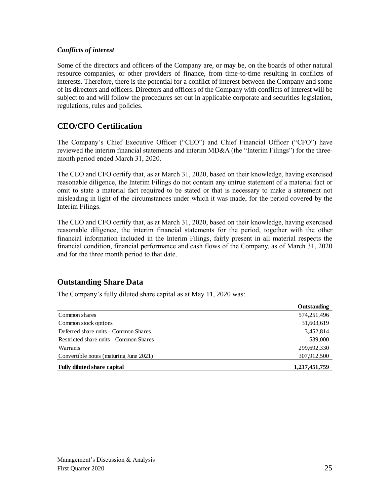### *Conflicts of interest*

Some of the directors and officers of the Company are, or may be, on the boards of other natural resource companies, or other providers of finance, from time-to-time resulting in conflicts of interests. Therefore, there is the potential for a conflict of interest between the Company and some of its directors and officers. Directors and officers of the Company with conflicts of interest will be subject to and will follow the procedures set out in applicable corporate and securities legislation, regulations, rules and policies.

# **CEO/CFO Certification**

The Company's Chief Executive Officer ("CEO") and Chief Financial Officer ("CFO") have reviewed the interim financial statements and interim MD&A (the "Interim Filings") for the threemonth period ended March 31, 2020.

The CEO and CFO certify that, as at March 31, 2020, based on their knowledge, having exercised reasonable diligence, the Interim Filings do not contain any untrue statement of a material fact or omit to state a material fact required to be stated or that is necessary to make a statement not misleading in light of the circumstances under which it was made, for the period covered by the Interim Filings.

The CEO and CFO certify that, as at March 31, 2020, based on their knowledge, having exercised reasonable diligence, the interim financial statements for the period, together with the other financial information included in the Interim Filings, fairly present in all material respects the financial condition, financial performance and cash flows of the Company, as of March 31, 2020 and for the three month period to that date.

# **Outstanding Share Data**

The Company's fully diluted share capital as at May 11, 2020 was:

|                                        | Outstanding   |
|----------------------------------------|---------------|
| Common shares                          | 574,251,496   |
| Common stock options                   | 31,603,619    |
| Deferred share units - Common Shares   | 3,452,814     |
| Restricted share units - Common Shares | 539,000       |
| Warrants                               | 299,692,330   |
| Convertible notes (maturing June 2021) | 307,912,500   |
| <b>Fully diluted share capital</b>     | 1,217,451,759 |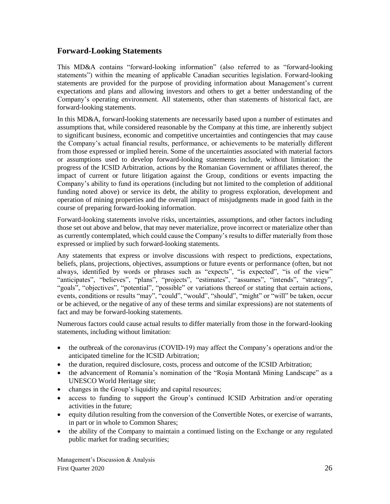# **Forward-Looking Statements**

This MD&A contains "forward-looking information" (also referred to as "forward-looking statements") within the meaning of applicable Canadian securities legislation. Forward-looking statements are provided for the purpose of providing information about Management's current expectations and plans and allowing investors and others to get a better understanding of the Company's operating environment. All statements, other than statements of historical fact, are forward-looking statements.

In this MD&A, forward-looking statements are necessarily based upon a number of estimates and assumptions that, while considered reasonable by the Company at this time, are inherently subject to significant business, economic and competitive uncertainties and contingencies that may cause the Company's actual financial results, performance, or achievements to be materially different from those expressed or implied herein. Some of the uncertainties associated with material factors or assumptions used to develop forward-looking statements include, without limitation: the progress of the ICSID Arbitration, actions by the Romanian Government or affiliates thereof, the impact of current or future litigation against the Group, conditions or events impacting the Company's ability to fund its operations (including but not limited to the completion of additional funding noted above) or service its debt, the ability to progress exploration, development and operation of mining properties and the overall impact of misjudgments made in good faith in the course of preparing forward-looking information.

Forward-looking statements involve risks, uncertainties, assumptions, and other factors including those set out above and below, that may never materialize, prove incorrect or materialize other than as currently contemplated, which could cause the Company's results to differ materially from those expressed or implied by such forward-looking statements.

Any statements that express or involve discussions with respect to predictions, expectations, beliefs, plans, projections, objectives, assumptions or future events or performance (often, but not always, identified by words or phrases such as "expects", "is expected", "is of the view" "anticipates", "believes", "plans", "projects", "estimates", "assumes", "intends", "strategy", "goals", "objectives", "potential", "possible" or variations thereof or stating that certain actions, events, conditions or results "may", "could", "would", "should", "might" or "will" be taken, occur or be achieved, or the negative of any of these terms and similar expressions) are not statements of fact and may be forward-looking statements.

Numerous factors could cause actual results to differ materially from those in the forward-looking statements, including without limitation:

- the outbreak of the coronavirus (COVID‐19) may affect the Company's operations and/or the anticipated timeline for the ICSID Arbitration;
- the duration, required disclosure, costs, process and outcome of the ICSID Arbitration;
- the advancement of Romania's nomination of the "Rosia Montană Mining Landscape" as a UNESCO World Heritage site;
- changes in the Group's liquidity and capital resources;
- access to funding to support the Group's continued ICSID Arbitration and/or operating activities in the future;
- equity dilution resulting from the conversion of the Convertible Notes, or exercise of warrants, in part or in whole to Common Shares;
- the ability of the Company to maintain a continued listing on the Exchange or any regulated public market for trading securities;

Management's Discussion & Analysis First Quarter 2020 26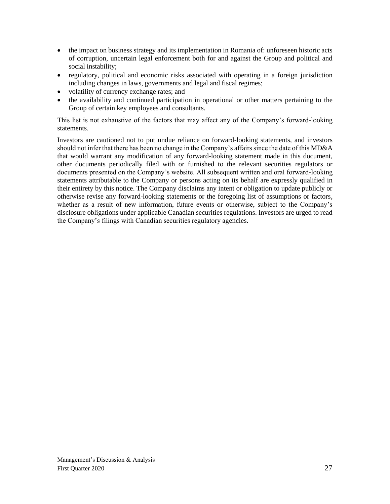- the impact on business strategy and its implementation in Romania of: unforeseen historic acts of corruption, uncertain legal enforcement both for and against the Group and political and social instability;
- regulatory, political and economic risks associated with operating in a foreign jurisdiction including changes in laws, governments and legal and fiscal regimes;
- volatility of currency exchange rates; and
- the availability and continued participation in operational or other matters pertaining to the Group of certain key employees and consultants.

This list is not exhaustive of the factors that may affect any of the Company's forward-looking statements.

Investors are cautioned not to put undue reliance on forward-looking statements, and investors should not infer that there has been no change in the Company's affairs since the date of this MD&A that would warrant any modification of any forward-looking statement made in this document, other documents periodically filed with or furnished to the relevant securities regulators or documents presented on the Company's website. All subsequent written and oral forward-looking statements attributable to the Company or persons acting on its behalf are expressly qualified in their entirety by this notice. The Company disclaims any intent or obligation to update publicly or otherwise revise any forward-looking statements or the foregoing list of assumptions or factors, whether as a result of new information, future events or otherwise, subject to the Company's disclosure obligations under applicable Canadian securities regulations. Investors are urged to read the Company's filings with Canadian securities regulatory agencies.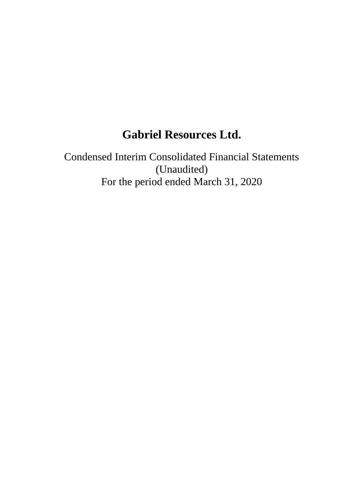# **Gabriel Resources Ltd.**

Condensed Interim Consolidated Financial Statements (Unaudited) For the period ended March 31, 2020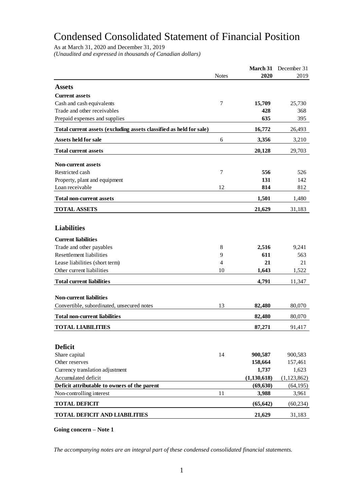# Condensed Consolidated Statement of Financial Position

As at March 31, 2020 and December 31, 2019

*(Unaudited and expressed in thousands of Canadian dollars)*

| <b>Notes</b><br>2020<br>2019<br><b>Assets</b><br><b>Current assets</b><br>Cash and cash equivalents<br>7<br>15,709<br>25,730<br>Trade and other receivables<br>428<br>368<br>635<br>395<br>Prepaid expenses and supplies<br>Total current assets (excluding assets classified as held for sale)<br>16,772<br>26,493<br>Assets held for sale<br>6<br>3,356<br>3,210<br>20,128<br><b>Total current assets</b><br>29,703<br><b>Non-current assets</b><br>Restricted cash<br>7<br>556<br>526<br>Property, plant and equipment<br>131<br>142<br>Loan receivable<br>12<br>814<br>812<br>1,501<br><b>Total non-current assets</b><br>1,480<br><b>TOTAL ASSETS</b><br>21,629<br>31,183<br><b>Liabilities</b><br><b>Current liabilities</b><br>2,516<br>9,241<br>Trade and other payables<br>8<br><b>Resettlement liabilities</b><br>611<br>9<br>563<br>21<br>Lease liabilities (short term)<br>4<br>21<br>Other current liabilities<br>10<br>1,643<br>1,522<br><b>Total current liabilities</b><br>4,791<br>11,347<br><b>Non-current liabilities</b><br>Convertible, subordinated, unsecured notes<br>13<br>82,480<br>80,070<br>82,480<br><b>Total non-current liabilities</b><br>80,070<br><b>TOTAL LIABILITIES</b><br>87,271<br>91,417<br><b>Deficit</b><br>Share capital<br>14<br>900,587<br>900,583<br>Other reserves<br>158,664<br>157,461<br>Currency translation adjustment<br>1,737<br>1,623<br>Accumulated deficit<br>(1, 130, 618)<br>(1, 123, 862)<br>Deficit attributable to owners of the parent<br>(69, 630)<br>(64, 195)<br>Non-controlling interest<br>11<br>3,988<br>3,961<br><b>TOTAL DEFICIT</b><br>(65, 642)<br>(60, 234)<br><b>TOTAL DEFICIT AND LIABILITIES</b><br>21,629<br>31,183 |  | March 31 | December 31 |
|---------------------------------------------------------------------------------------------------------------------------------------------------------------------------------------------------------------------------------------------------------------------------------------------------------------------------------------------------------------------------------------------------------------------------------------------------------------------------------------------------------------------------------------------------------------------------------------------------------------------------------------------------------------------------------------------------------------------------------------------------------------------------------------------------------------------------------------------------------------------------------------------------------------------------------------------------------------------------------------------------------------------------------------------------------------------------------------------------------------------------------------------------------------------------------------------------------------------------------------------------------------------------------------------------------------------------------------------------------------------------------------------------------------------------------------------------------------------------------------------------------------------------------------------------------------------------------------------------------------------------------------------------------------------------------------------------|--|----------|-------------|
|                                                                                                                                                                                                                                                                                                                                                                                                                                                                                                                                                                                                                                                                                                                                                                                                                                                                                                                                                                                                                                                                                                                                                                                                                                                                                                                                                                                                                                                                                                                                                                                                                                                                                                   |  |          |             |
|                                                                                                                                                                                                                                                                                                                                                                                                                                                                                                                                                                                                                                                                                                                                                                                                                                                                                                                                                                                                                                                                                                                                                                                                                                                                                                                                                                                                                                                                                                                                                                                                                                                                                                   |  |          |             |
|                                                                                                                                                                                                                                                                                                                                                                                                                                                                                                                                                                                                                                                                                                                                                                                                                                                                                                                                                                                                                                                                                                                                                                                                                                                                                                                                                                                                                                                                                                                                                                                                                                                                                                   |  |          |             |
|                                                                                                                                                                                                                                                                                                                                                                                                                                                                                                                                                                                                                                                                                                                                                                                                                                                                                                                                                                                                                                                                                                                                                                                                                                                                                                                                                                                                                                                                                                                                                                                                                                                                                                   |  |          |             |
|                                                                                                                                                                                                                                                                                                                                                                                                                                                                                                                                                                                                                                                                                                                                                                                                                                                                                                                                                                                                                                                                                                                                                                                                                                                                                                                                                                                                                                                                                                                                                                                                                                                                                                   |  |          |             |
|                                                                                                                                                                                                                                                                                                                                                                                                                                                                                                                                                                                                                                                                                                                                                                                                                                                                                                                                                                                                                                                                                                                                                                                                                                                                                                                                                                                                                                                                                                                                                                                                                                                                                                   |  |          |             |
|                                                                                                                                                                                                                                                                                                                                                                                                                                                                                                                                                                                                                                                                                                                                                                                                                                                                                                                                                                                                                                                                                                                                                                                                                                                                                                                                                                                                                                                                                                                                                                                                                                                                                                   |  |          |             |
|                                                                                                                                                                                                                                                                                                                                                                                                                                                                                                                                                                                                                                                                                                                                                                                                                                                                                                                                                                                                                                                                                                                                                                                                                                                                                                                                                                                                                                                                                                                                                                                                                                                                                                   |  |          |             |
|                                                                                                                                                                                                                                                                                                                                                                                                                                                                                                                                                                                                                                                                                                                                                                                                                                                                                                                                                                                                                                                                                                                                                                                                                                                                                                                                                                                                                                                                                                                                                                                                                                                                                                   |  |          |             |
|                                                                                                                                                                                                                                                                                                                                                                                                                                                                                                                                                                                                                                                                                                                                                                                                                                                                                                                                                                                                                                                                                                                                                                                                                                                                                                                                                                                                                                                                                                                                                                                                                                                                                                   |  |          |             |
|                                                                                                                                                                                                                                                                                                                                                                                                                                                                                                                                                                                                                                                                                                                                                                                                                                                                                                                                                                                                                                                                                                                                                                                                                                                                                                                                                                                                                                                                                                                                                                                                                                                                                                   |  |          |             |
|                                                                                                                                                                                                                                                                                                                                                                                                                                                                                                                                                                                                                                                                                                                                                                                                                                                                                                                                                                                                                                                                                                                                                                                                                                                                                                                                                                                                                                                                                                                                                                                                                                                                                                   |  |          |             |
|                                                                                                                                                                                                                                                                                                                                                                                                                                                                                                                                                                                                                                                                                                                                                                                                                                                                                                                                                                                                                                                                                                                                                                                                                                                                                                                                                                                                                                                                                                                                                                                                                                                                                                   |  |          |             |
|                                                                                                                                                                                                                                                                                                                                                                                                                                                                                                                                                                                                                                                                                                                                                                                                                                                                                                                                                                                                                                                                                                                                                                                                                                                                                                                                                                                                                                                                                                                                                                                                                                                                                                   |  |          |             |
|                                                                                                                                                                                                                                                                                                                                                                                                                                                                                                                                                                                                                                                                                                                                                                                                                                                                                                                                                                                                                                                                                                                                                                                                                                                                                                                                                                                                                                                                                                                                                                                                                                                                                                   |  |          |             |
|                                                                                                                                                                                                                                                                                                                                                                                                                                                                                                                                                                                                                                                                                                                                                                                                                                                                                                                                                                                                                                                                                                                                                                                                                                                                                                                                                                                                                                                                                                                                                                                                                                                                                                   |  |          |             |
|                                                                                                                                                                                                                                                                                                                                                                                                                                                                                                                                                                                                                                                                                                                                                                                                                                                                                                                                                                                                                                                                                                                                                                                                                                                                                                                                                                                                                                                                                                                                                                                                                                                                                                   |  |          |             |
|                                                                                                                                                                                                                                                                                                                                                                                                                                                                                                                                                                                                                                                                                                                                                                                                                                                                                                                                                                                                                                                                                                                                                                                                                                                                                                                                                                                                                                                                                                                                                                                                                                                                                                   |  |          |             |
|                                                                                                                                                                                                                                                                                                                                                                                                                                                                                                                                                                                                                                                                                                                                                                                                                                                                                                                                                                                                                                                                                                                                                                                                                                                                                                                                                                                                                                                                                                                                                                                                                                                                                                   |  |          |             |
|                                                                                                                                                                                                                                                                                                                                                                                                                                                                                                                                                                                                                                                                                                                                                                                                                                                                                                                                                                                                                                                                                                                                                                                                                                                                                                                                                                                                                                                                                                                                                                                                                                                                                                   |  |          |             |
|                                                                                                                                                                                                                                                                                                                                                                                                                                                                                                                                                                                                                                                                                                                                                                                                                                                                                                                                                                                                                                                                                                                                                                                                                                                                                                                                                                                                                                                                                                                                                                                                                                                                                                   |  |          |             |
|                                                                                                                                                                                                                                                                                                                                                                                                                                                                                                                                                                                                                                                                                                                                                                                                                                                                                                                                                                                                                                                                                                                                                                                                                                                                                                                                                                                                                                                                                                                                                                                                                                                                                                   |  |          |             |
|                                                                                                                                                                                                                                                                                                                                                                                                                                                                                                                                                                                                                                                                                                                                                                                                                                                                                                                                                                                                                                                                                                                                                                                                                                                                                                                                                                                                                                                                                                                                                                                                                                                                                                   |  |          |             |
|                                                                                                                                                                                                                                                                                                                                                                                                                                                                                                                                                                                                                                                                                                                                                                                                                                                                                                                                                                                                                                                                                                                                                                                                                                                                                                                                                                                                                                                                                                                                                                                                                                                                                                   |  |          |             |
|                                                                                                                                                                                                                                                                                                                                                                                                                                                                                                                                                                                                                                                                                                                                                                                                                                                                                                                                                                                                                                                                                                                                                                                                                                                                                                                                                                                                                                                                                                                                                                                                                                                                                                   |  |          |             |
|                                                                                                                                                                                                                                                                                                                                                                                                                                                                                                                                                                                                                                                                                                                                                                                                                                                                                                                                                                                                                                                                                                                                                                                                                                                                                                                                                                                                                                                                                                                                                                                                                                                                                                   |  |          |             |
|                                                                                                                                                                                                                                                                                                                                                                                                                                                                                                                                                                                                                                                                                                                                                                                                                                                                                                                                                                                                                                                                                                                                                                                                                                                                                                                                                                                                                                                                                                                                                                                                                                                                                                   |  |          |             |
|                                                                                                                                                                                                                                                                                                                                                                                                                                                                                                                                                                                                                                                                                                                                                                                                                                                                                                                                                                                                                                                                                                                                                                                                                                                                                                                                                                                                                                                                                                                                                                                                                                                                                                   |  |          |             |
|                                                                                                                                                                                                                                                                                                                                                                                                                                                                                                                                                                                                                                                                                                                                                                                                                                                                                                                                                                                                                                                                                                                                                                                                                                                                                                                                                                                                                                                                                                                                                                                                                                                                                                   |  |          |             |
|                                                                                                                                                                                                                                                                                                                                                                                                                                                                                                                                                                                                                                                                                                                                                                                                                                                                                                                                                                                                                                                                                                                                                                                                                                                                                                                                                                                                                                                                                                                                                                                                                                                                                                   |  |          |             |
|                                                                                                                                                                                                                                                                                                                                                                                                                                                                                                                                                                                                                                                                                                                                                                                                                                                                                                                                                                                                                                                                                                                                                                                                                                                                                                                                                                                                                                                                                                                                                                                                                                                                                                   |  |          |             |
|                                                                                                                                                                                                                                                                                                                                                                                                                                                                                                                                                                                                                                                                                                                                                                                                                                                                                                                                                                                                                                                                                                                                                                                                                                                                                                                                                                                                                                                                                                                                                                                                                                                                                                   |  |          |             |
|                                                                                                                                                                                                                                                                                                                                                                                                                                                                                                                                                                                                                                                                                                                                                                                                                                                                                                                                                                                                                                                                                                                                                                                                                                                                                                                                                                                                                                                                                                                                                                                                                                                                                                   |  |          |             |
|                                                                                                                                                                                                                                                                                                                                                                                                                                                                                                                                                                                                                                                                                                                                                                                                                                                                                                                                                                                                                                                                                                                                                                                                                                                                                                                                                                                                                                                                                                                                                                                                                                                                                                   |  |          |             |
|                                                                                                                                                                                                                                                                                                                                                                                                                                                                                                                                                                                                                                                                                                                                                                                                                                                                                                                                                                                                                                                                                                                                                                                                                                                                                                                                                                                                                                                                                                                                                                                                                                                                                                   |  |          |             |
|                                                                                                                                                                                                                                                                                                                                                                                                                                                                                                                                                                                                                                                                                                                                                                                                                                                                                                                                                                                                                                                                                                                                                                                                                                                                                                                                                                                                                                                                                                                                                                                                                                                                                                   |  |          |             |
|                                                                                                                                                                                                                                                                                                                                                                                                                                                                                                                                                                                                                                                                                                                                                                                                                                                                                                                                                                                                                                                                                                                                                                                                                                                                                                                                                                                                                                                                                                                                                                                                                                                                                                   |  |          |             |
|                                                                                                                                                                                                                                                                                                                                                                                                                                                                                                                                                                                                                                                                                                                                                                                                                                                                                                                                                                                                                                                                                                                                                                                                                                                                                                                                                                                                                                                                                                                                                                                                                                                                                                   |  |          |             |

**Going concern – Note 1**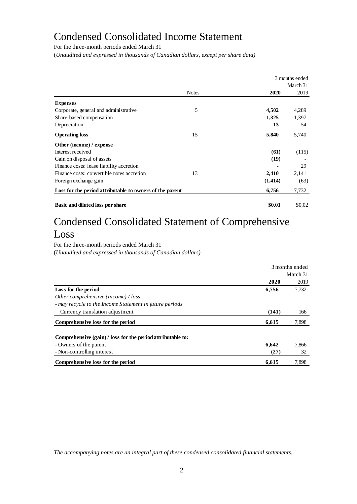# Condensed Consolidated Income Statement

For the three-month periods ended March 31

(*Unaudited and expressed in thousands of Canadian dollars, except per share data)*

|                                                          |              |          | 3 months ended |
|----------------------------------------------------------|--------------|----------|----------------|
|                                                          |              |          | March 31       |
|                                                          | <b>Notes</b> | 2020     | 2019           |
| <b>Expenses</b>                                          |              |          |                |
| Corporate, general and administrative                    | 5            | 4,502    | 4,289          |
| Share-based compensation                                 |              | 1,325    | 1,397          |
| Depreciation                                             |              | 13       | 54             |
| <b>Operating loss</b>                                    | 15           | 5,840    | 5,740          |
| Other (income) / expense                                 |              |          |                |
| Interest received                                        |              | (61)     | (115)          |
| Gain on disposal of assets                               |              | (19)     |                |
| Finance costs: lease liability accretion                 |              |          | 29             |
| Finance costs: convertible notes accretion               | 13           | 2,410    | 2,141          |
| Foreign exchange gain                                    |              | (1, 414) | (63)           |
| Loss for the period attributable to owners of the parent |              | 6,756    | 7,732          |
| Basic and diluted loss per share                         |              | \$0.01   | \$0.02         |

# Condensed Consolidated Statement of Comprehensive Loss

For the three-month periods ended March 31 (*Unaudited and expressed in thousands of Canadian dollars)*

|                                                             | 3 months ended |          |
|-------------------------------------------------------------|----------------|----------|
|                                                             |                | March 31 |
|                                                             | 2020           | 2019     |
| Loss for the period                                         | 6,756          | 7,732    |
| Other comprehensive (income) / loss                         |                |          |
| - may recycle to the Income Statement in future periods     |                |          |
| Currency translation adjustment                             | (141)          | 166      |
| Comprehensive loss for the period                           | 6,615          | 7,898    |
| Comprehensive (gain) / loss for the period attributable to: |                |          |
| - Owners of the parent                                      | 6,642          | 7,866    |
| - Non-controlling interest                                  | (27)           | 32       |
| Comprehensive loss for the period                           | 6,615          | 7,898    |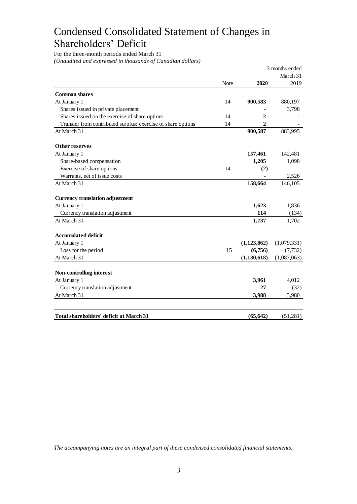# Condensed Consolidated Statement of Changes in Shareholders' Deficit

For the three-month periods ended March 31 *(Unaudited and expressed in thousands of Canadian dollars)*

|                                                              |      |               | 3 months ended |
|--------------------------------------------------------------|------|---------------|----------------|
|                                                              |      |               | March 31       |
|                                                              | Note | 2020          | 2019           |
| <b>Common shares</b>                                         |      |               |                |
| At January 1                                                 | 14   | 900,583       | 880,197        |
| Shares issued in private placement                           |      |               | 3,798          |
| Shares issued on the exercise of share options               | 14   | $\mathbf 2$   |                |
| Transfer from contributed surplus: exercise of share options | 14   | 2             |                |
| At March 31                                                  |      | 900,587       | 883,995        |
| Other reserves                                               |      |               |                |
| At January 1                                                 |      | 157,461       | 142,481        |
| Share-based compensation                                     |      | 1,205         | 1,098          |
| Exercise of share options                                    | 14   | (2)           |                |
| Warrants, net of issue costs                                 |      |               | 2,526          |
| At March 31                                                  |      | 158,664       | 146,105        |
| <b>Currency translation adjustment</b>                       |      |               |                |
| At January 1                                                 |      | 1,623         | 1,836          |
| Currency translation adjustment                              |      | 114           | (134)          |
| At March 31                                                  |      | 1,737         | 1,702          |
| <b>Accumulated deficit</b>                                   |      |               |                |
| At January 1                                                 |      | (1, 123, 862) | (1,079,331)    |
| Loss for the period                                          | 15   | (6,756)       | (7, 732)       |
| At March 31                                                  |      | (1, 130, 618) | (1,087,063)    |
| <b>Non-controlling interest</b>                              |      |               |                |
| At January 1                                                 |      | 3,961         | 4,012          |
| Currency translation adjustment                              |      | 27            | (32)           |
| At March 31                                                  |      | 3,988         | 3,980          |
|                                                              |      |               |                |
| Total shareholders' deficit at March 31                      |      | (65, 642)     | (51,281)       |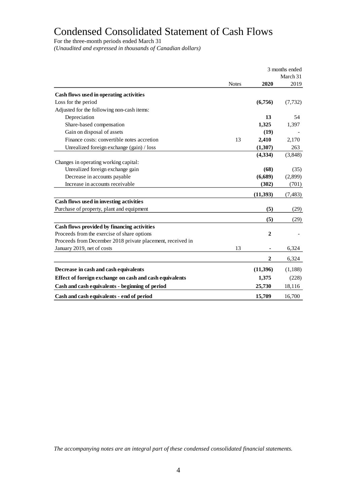# Condensed Consolidated Statement of Cash Flows

For the three-month periods ended March 31

*(Unaudited and expressed in thousands of Canadian dollars)*

|                                                            | 3 months ended |                  |          |
|------------------------------------------------------------|----------------|------------------|----------|
|                                                            |                |                  | March 31 |
|                                                            | <b>Notes</b>   | 2020             | 2019     |
| Cash flows used in operating activities                    |                |                  |          |
| Loss for the period                                        |                | (6,756)          | (7, 732) |
| Adjusted for the following non-cash items:                 |                |                  |          |
| Depreciation                                               |                | 13               | 54       |
| Share-based compensation                                   |                | 1,325            | 1,397    |
| Gain on disposal of assets                                 |                | (19)             |          |
| Finance costs: convertible notes accretion                 | 13             | 2,410            | 2,170    |
| Unrealized foreign exchange (gain) / loss                  |                | (1,307)          | 263      |
|                                                            |                | (4,334)          | (3,848)  |
| Changes in operating working capital:                      |                |                  |          |
| Unrealized foreign exchange gain                           |                | (68)             | (35)     |
| Decrease in accounts payable                               |                | (6,689)          | (2,899)  |
| Increase in accounts receivable                            |                | (302)            | (701)    |
|                                                            |                | (11,393)         |          |
| Cash flows used in investing activities                    |                |                  | (7, 483) |
| Purchase of property, plant and equipment                  |                | (5)              |          |
|                                                            |                |                  | (29)     |
|                                                            |                | (5)              | (29)     |
| Cash flows provided by financing activities                |                |                  |          |
| Proceeds from the exercise of share options                |                | 2                |          |
| Proceeds from December 2018 private placement, received in |                |                  |          |
| January 2019, net of costs                                 | 13             |                  | 6,324    |
|                                                            |                | $\boldsymbol{2}$ | 6,324    |
| Decrease in cash and cash equivalents                      |                | (11,396)         | (1,188)  |
| Effect of foreign exchange on cash and cash equivalents    |                | 1,375            | (228)    |
| Cash and cash equivalents - beginning of period            |                | 25,730           | 18,116   |
| Cash and cash equivalents - end of period                  |                | 15,709           | 16,700   |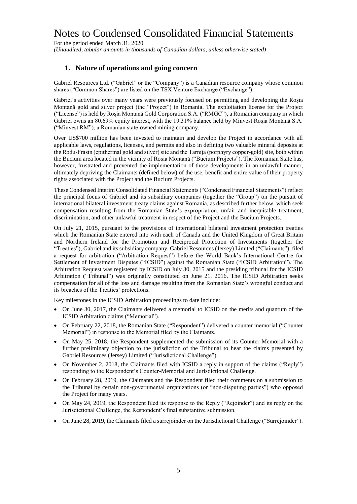For the period ended March 31, 2020 *(Unaudited, tabular amounts in thousands of Canadian dollars, unless otherwise stated)*

## **1. Nature of operations and going concern**

Gabriel Resources Ltd. ("Gabriel" or the "Company") is a Canadian resource company whose common shares ("Common Shares") are listed on the TSX Venture Exchange ("Exchange").

Gabriel's activities over many years were previously focused on permitting and developing the Roșia Montană gold and silver project (the "Project") in Romania. The exploitation license for the Project ("License") is held by Roșia Montană Gold Corporation S.A. ("RMGC"), a Romanian company in which Gabriel owns an 80.69% equity interest, with the 19.31% balance held by Minvest Roșia Montană S.A. ("Minvest RM"), a Romanian state-owned mining company.

Over US\$700 million has been invested to maintain and develop the Project in accordance with all applicable laws, regulations, licenses, and permits and also in defining two valuable mineral deposits at the Rodu-Frasin (epithermal gold and silver) site and the Tarniţa (porphyry copper-gold) site, both within the Bucium area located in the vicinity of Roşia Montană ("Bucium Projects"). The Romanian State has, however, frustrated and prevented the implementation of those developments in an unlawful manner, ultimately depriving the Claimants (defined below) of the use, benefit and entire value of their property rights associated with the Project and the Bucium Projects.

These Condensed Interim Consolidated Financial Statements ("Condensed Financial Statements") reflect the principal focus of Gabriel and its subsidiary companies (together the "Group") on the pursuit of international bilateral investment treaty claims against Romania, as described further below, which seek compensation resulting from the Romanian State's expropriation, unfair and inequitable treatment, discrimination, and other unlawful treatment in respect of the Project and the Bucium Projects.

On July 21, 2015, pursuant to the provisions of international bilateral investment protection treaties which the Romanian State entered into with each of Canada and the United Kingdom of Great Britain and Northern Ireland for the Promotion and Reciprocal Protection of Investments (together the "Treaties"), Gabriel and its subsidiary company, Gabriel Resources (Jersey) Limited ("Claimants"), filed a request for arbitration ("Arbitration Request") before the World Bank's International Centre for Settlement of Investment Disputes ("ICSID") against the Romanian State ("ICSID Arbitration"). The Arbitration Request was registered by ICSID on July 30, 2015 and the presiding tribunal for the ICSID Arbitration ("Tribunal") was originally constituted on June 21, 2016. The ICSID Arbitration seeks compensation for all of the loss and damage resulting from the Romanian State's wrongful conduct and its breaches of the Treaties' protections.

Key milestones in the ICSID Arbitration proceedings to date include:

- On June 30, 2017, the Claimants delivered a memorial to ICSID on the merits and quantum of the ICSID Arbitration claims ("Memorial").
- On February 22, 2018, the Romanian State ("Respondent") delivered a counter memorial ("Counter Memorial") in response to the Memorial filed by the Claimants.
- On May 25, 2018, the Respondent supplemented the submission of its Counter-Memorial with a further preliminary objection to the jurisdiction of the Tribunal to hear the claims presented by Gabriel Resources (Jersey) Limited ("Jurisdictional Challenge").
- On November 2, 2018, the Claimants filed with ICSID a reply in support of the claims ("Reply") responding to the Respondent's Counter-Memorial and Jurisdictional Challenge.
- On February 28, 2019, the Claimants and the Respondent filed their comments on a submission to the Tribunal by certain non-governmental organizations (or "non-disputing parties") who opposed the Project for many years.
- On May 24, 2019, the Respondent filed its response to the Reply ("Rejoinder") and its reply on the Jurisdictional Challenge, the Respondent's final substantive submission.
- On June 28, 2019, the Claimants filed a surrejoinder on the Jurisdictional Challenge ("Surrejoinder").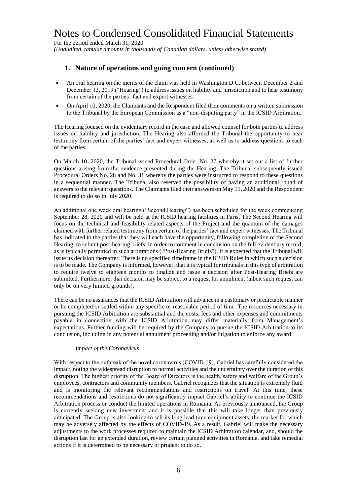For the period ended March 31, 2020 *(Unaudited, tabular amounts in thousands of Canadian dollars, unless otherwise stated)*

## **1. Nature of operations and going concern (continued)**

- An oral hearing on the merits of the claim was held in Washington D.C. between December 2 and December 13, 2019 ("Hearing") to address issues on liability and jurisdiction and to hear testimony from certain of the parties' fact and expert witnesses.
- On April 10, 2020, the Claimants and the Respondent filed their comments on a written submission to the Tribunal by the European Commission as a "non-disputing party" in the ICSID Arbitration.

The Hearing focused on the evidentiary record in the case and allowed counsel for both parties to address issues on liability and jurisdiction. The Hearing also afforded the Tribunal the opportunity to hear testimony from certain of the parties' fact and expert witnesses, as well as to address questions to each of the parties.

On March 10, 2020, the Tribunal issued Procedural Order No. 27 whereby it set out a list of further questions arising from the evidence presented during the Hearing. The Tribunal subsequently issued Procedural Orders No. 28 and No. 31 whereby the parties were instructed to respond to these questions in a sequential manner. The Tribunal also reserved the possibility of having an additional round of answers to the relevant questions. The Claimants filed their answers on May 11, 2020 and the Respondent is required to do so in July 2020.

An additional one week oral hearing ("Second Hearing") has been scheduled for the week commencing September 28, 2020 and will be held at the ICSID hearing facilities in Paris. The Second Hearing will focus on the technical and feasibility-related aspects of the Project and the quantum of the damages claimed with further related testimony from certain of the parties' fact and expert witnesses. The Tribunal has indicated to the parties that they will each have the opportunity, following completion of the Second Hearing, to submit post-hearing briefs, in order to comment in conclusion on the full evidentiary record, as is typically permitted in such arbitrations ("Post-Hearing Briefs"). It is expected that the Tribunal will issue its decision thereafter. There is no specified timeframe in the ICSID Rules in which such a decision is to be made. The Company is informed, however, that it is typical for tribunals in this type of arbitration to require twelve to eighteen months to finalize and issue a decision after Post-Hearing Briefs are submitted. Furthermore, that decision may be subject to a request for annulment (albeit such request can only be on very limited grounds).

There can be no assurances that the ICSID Arbitration will advance in a customary or predictable manner or be completed or settled within any specific or reasonable period of time. The resources necessary in pursuing the ICSID Arbitration are substantial and the costs, fees and other expenses and commitments payable in connection with the ICSID Arbitration may differ materially from Management's expectations. Further funding will be required by the Company to pursue the ICSID Arbitration to its conclusion, including in any potential annulment proceeding and/or litigation to enforce any award.

#### *Impact of the Coronavirus*

With respect to the outbreak of the novel coronavirus (COVID-19), Gabriel has carefully considered the impact, noting the widespread disruption to normal activities and the uncertainty over the duration of this disruption. The highest priority of the Board of Directors is the health, safety and welfare of the Group's employees, contractors and community members. Gabriel recognizes that the situation is extremely fluid and is monitoring the relevant recommendations and restrictions on travel. At this time, these recommendations and restrictions do not significantly impact Gabriel's ability to continue the ICSID Arbitration process or conduct the limited operations in Romania. As previously announced, the Group is currently seeking new investment and it is possible that this will take longer than previously anticipated. The Group is also looking to sell its long lead time equipment assets, the market for which may be adversely affected by the effects of COVID-19. As a result, Gabriel will make the necessary adjustments to the work processes required to maintain the ICSID Arbitration calendar, and, should the disruption last for an extended duration, review certain planned activities in Romania, and take remedial actions if it is determined to be necessary or prudent to do so.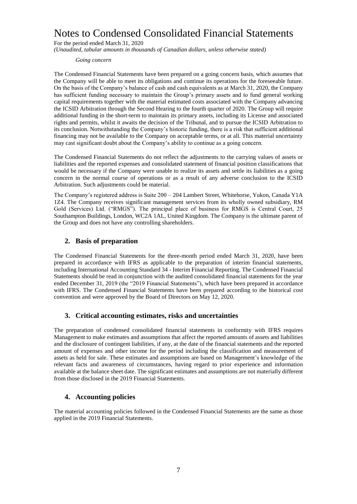For the period ended March 31, 2020 *(Unaudited, tabular amounts in thousands of Canadian dollars, unless otherwise stated)*

#### *Going concern*

The Condensed Financial Statements have been prepared on a going concern basis, which assumes that the Company will be able to meet its obligations and continue its operations for the foreseeable future. On the basis of the Company's balance of cash and cash equivalents as at March 31, 2020, the Company has sufficient funding necessary to maintain the Group's primary assets and to fund general working capital requirements together with the material estimated costs associated with the Company advancing the ICSID Arbitration through the Second Hearing to the fourth quarter of 2020. The Group will require additional funding in the short-term to maintain its primary assets, including its License and associated rights and permits, whilst it awaits the decision of the Tribunal, and to pursue the ICSID Arbitration to its conclusion. Notwithstanding the Company's historic funding, there is a risk that sufficient additional financing may not be available to the Company on acceptable terms, or at all. This material uncertainty may cast significant doubt about the Company's ability to continue as a going concern.

The Condensed Financial Statements do not reflect the adjustments to the carrying values of assets or liabilities and the reported expenses and consolidated statement of financial position classifications that would be necessary if the Company were unable to realize its assets and settle its liabilities as a going concern in the normal course of operations or as a result of any adverse conclusion to the ICSID Arbitration. Such adjustments could be material.

The Company's registered address is Suite 200 – 204 Lambert Street, Whitehorse, Yukon, Canada Y1A 1Z4. The Company receives significant management services from its wholly owned subsidiary, RM Gold (Services) Ltd. ("RMGS"). The principal place of business for RMGS is Central Court, 25 Southampton Buildings, London, WC2A 1AL, United Kingdom. The Company is the ultimate parent of the Group and does not have any controlling shareholders.

## **2. Basis of preparation**

The Condensed Financial Statements for the three-month period ended March 31, 2020, have been prepared in accordance with IFRS as applicable to the preparation of interim financial statements, including International Accounting Standard 34 - Interim Financial Reporting. The Condensed Financial Statements should be read in conjunction with the audited consolidated financial statements for the year ended December 31, 2019 (the "2019 Financial Statements"), which have been prepared in accordance with IFRS. The Condensed Financial Statements have been prepared according to the historical cost convention and were approved by the Board of Directors on May 12, 2020.

### **3. Critical accounting estimates, risks and uncertainties**

The preparation of condensed consolidated financial statements in conformity with IFRS requires Management to make estimates and assumptions that affect the reported amounts of assets and liabilities and the disclosure of contingent liabilities, if any, at the date of the financial statements and the reported amount of expenses and other income for the period including the classification and measurement of assets as held for sale. These estimates and assumptions are based on Management's knowledge of the relevant facts and awareness of circumstances, having regard to prior experience and information available at the balance sheet date. The significant estimates and assumptions are not materially different from those disclosed in the 2019 Financial Statements.

# **4. Accounting policies**

The material accounting policies followed in the Condensed Financial Statements are the same as those applied in the 2019 Financial Statements.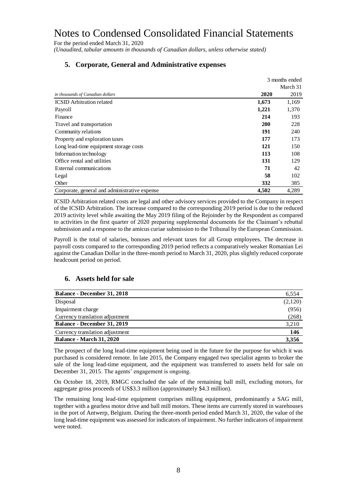For the period ended March 31, 2020

*(Unaudited, tabular amounts in thousands of Canadian dollars, unless otherwise stated)*

|                                               |            | 3 months ended |
|-----------------------------------------------|------------|----------------|
|                                               |            | March 31       |
| in thousands of Canadian dollars              | 2020       | 2019           |
| <b>ICSID</b> Arbitration related              | 1,673      | 1,169          |
| Payroll                                       | 1,221      | 1,370          |
| Finance                                       | 214        | 193            |
| Travel and transportation                     | <b>200</b> | 228            |
| Community relations                           | 191        | 240            |
| Property and exploration taxes                | 177        | 173            |
| Long lead-time equipment storage costs        | 121        | 150            |
| Information technology                        | 113        | 108            |
| Office rental and utilities                   | 131        | 129            |
| External communications                       | 71         | 42             |
| Legal                                         | 58         | 102            |
| Other                                         | 332        | 385            |
| Corporate, general and administrative expense | 4.502      | 4,289          |

## **5. Corporate, General and Administrative expenses**

ICSID Arbitration related costs are legal and other advisory services provided to the Company in respect of the ICSID Arbitration. The increase compared to the corresponding 2019 period is due to the reduced 2019 activity level while awaiting the May 2019 filing of the Rejoinder by the Respondent as compared to activities in the first quarter of 2020 preparing supplemental documents for the Claimant's rebuttal submission and a response to the amicus curiae submission to the Tribunal by the European Commission.

Payroll is the total of salaries, bonuses and relevant taxes for all Group employees. The decrease in payroll costs compared to the corresponding 2019 period reflects a comparatively weaker Romanian Lei against the Canadian Dollar in the three-month period to March 31, 2020, plus slightly reduced corporate headcount period on period.

## **6. Assets held for sale**

| <b>Balance - December 31, 2018</b> | 6,554   |
|------------------------------------|---------|
| Disposal                           | (2,120) |
| Impairment charge                  | (956)   |
| Currency translation adjustment    | (268)   |
| Balance - December 31, 2019        | 3,210   |
| Currency translation adjustment    | 146     |
| <b>Balance - March 31, 2020</b>    | 3,356   |

The prospect of the long lead-time equipment being used in the future for the purpose for which it was purchased is considered remote. In late 2015, the Company engaged two specialist agents to broker the sale of the long lead-time equipment, and the equipment was transferred to assets held for sale on December 31, 2015. The agents' engagement is ongoing.

On October 18, 2019, RMGC concluded the sale of the remaining ball mill, excluding motors, for aggregate gross proceeds of US\$3.3 million (approximately \$4.3 million).

The remaining long lead-time equipment comprises milling equipment, predominantly a SAG mill, together with a gearless motor drive and ball mill motors. These items are currently stored in warehouses in the port of Antwerp, Belgium. During the three-month period ended March 31, 2020, the value of the long lead-time equipment was assessed for indicators of impairment. No further indicators of impairment were noted.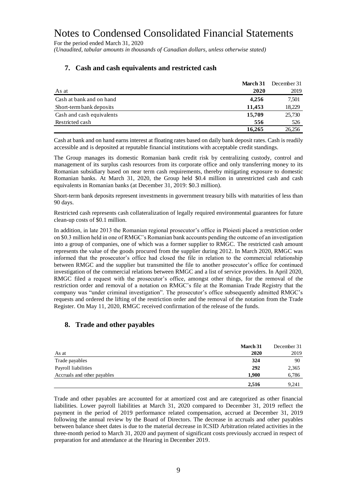For the period ended March 31, 2020

*(Unaudited, tabular amounts in thousands of Canadian dollars, unless otherwise stated)*

|                           | March 31 | December 31 |
|---------------------------|----------|-------------|
| As at                     | 2020     | 2019        |
| Cash at bank and on hand  | 4,256    | 7,501       |
| Short-term bank deposits  | 11.453   | 18,229      |
| Cash and cash equivalents | 15,709   | 25,730      |
| Restricted cash           | 556      | 526         |
|                           | 16.265   | 26,256      |

## **7. Cash and cash equivalents and restricted cash**

Cash at bank and on hand earns interest at floating rates based on daily bank deposit rates. Cash is readily accessible and is deposited at reputable financial institutions with acceptable credit standings.

The Group manages its domestic Romanian bank credit risk by centralizing custody, control and management of its surplus cash resources from its corporate office and only transferring money to its Romanian subsidiary based on near term cash requirements, thereby mitigating exposure to domestic Romanian banks. At March 31, 2020, the Group held \$0.4 million in unrestricted cash and cash equivalents in Romanian banks (at December 31, 2019: \$0.3 million).

Short-term bank deposits represent investments in government treasury bills with maturities of less than 90 days.

Restricted cash represents cash collateralization of legally required environmental guarantees for future clean-up costs of \$0.1 million.

In addition, in late 2013 the Romanian regional prosecutor's office in Ploiesti placed a restriction order on \$0.3 million held in one of RMGC's Romanian bank accounts pending the outcome of an investigation into a group of companies, one of which was a former supplier to RMGC. The restricted cash amount represents the value of the goods procured from the supplier during 2012. In March 2020, RMGC was informed that the prosecutor's office had closed the file in relation to the commercial relationship between RMGC and the supplier but transmitted the file to another prosecutor's office for continued investigation of the commercial relations between RMGC and a list of service providers. In April 2020, RMGC filed a request with the prosecutor's office, amongst other things, for the removal of the restriction order and removal of a notation on RMGC's file at the Romanian Trade Registry that the company was "under criminal investigation". The prosecutor's office subsequently admitted RMGC's requests and ordered the lifting of the restriction order and the removal of the notation from the Trade Register. On May 11, 2020, RMGC received confirmation of the release of the funds.

## **8. Trade and other payables**

|                             | <b>March 31</b> | December 31 |
|-----------------------------|-----------------|-------------|
| As at                       | 2020            | 2019        |
| Trade payables              | 324             | 90          |
| Payroll liabilities         | 292             | 2,365       |
| Accruals and other payables | 1,900           | 6,786       |
|                             | 2,516           | 9.241       |

Trade and other payables are accounted for at amortized cost and are categorized as other financial liabilities. Lower payroll liabilities at March 31, 2020 compared to December 31, 2019 reflect the payment in the period of 2019 performance related compensation, accrued at December 31, 2019 following the annual review by the Board of Directors. The decrease in accruals and other payables between balance sheet dates is due to the material decrease in ICSID Arbitration related activities in the three-month period to March 31, 2020 and payment of significant costs previously accrued in respect of preparation for and attendance at the Hearing in December 2019.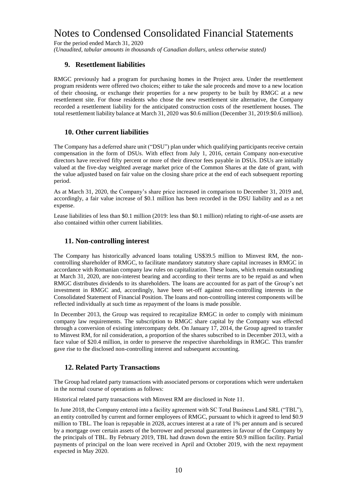For the period ended March 31, 2020

*(Unaudited, tabular amounts in thousands of Canadian dollars, unless otherwise stated)*

## **9. Resettlement liabilities**

RMGC previously had a program for purchasing homes in the Project area. Under the resettlement program residents were offered two choices; either to take the sale proceeds and move to a new location of their choosing, or exchange their properties for a new property to be built by RMGC at a new resettlement site. For those residents who chose the new resettlement site alternative, the Company recorded a resettlement liability for the anticipated construction costs of the resettlement houses. The total resettlement liability balance at March 31, 2020 was \$0.6 million (December 31, 2019:\$0.6 million).

### **10. Other current liabilities**

The Company has a deferred share unit ("DSU") plan under which qualifying participants receive certain compensation in the form of DSUs. With effect from July 1, 2016, certain Company non-executive directors have received fifty percent or more of their director fees payable in DSUs. DSUs are initially valued at the five-day weighted average market price of the Common Shares at the date of grant, with the value adjusted based on fair value on the closing share price at the end of each subsequent reporting period.

As at March 31, 2020, the Company's share price increased in comparison to December 31, 2019 and, accordingly, a fair value increase of \$0.1 million has been recorded in the DSU liability and as a net expense.

Lease liabilities of less than \$0.1 million (2019: less than \$0.1 million) relating to right-of-use assets are also contained within other current liabilities.

### **11. Non-controlling interest**

The Company has historically advanced loans totaling US\$39.5 million to Minvest RM, the noncontrolling shareholder of RMGC, to facilitate mandatory statutory share capital increases in RMGC in accordance with Romanian company law rules on capitalization. These loans, which remain outstanding at March 31, 2020, are non-interest bearing and according to their terms are to be repaid as and when RMGC distributes dividends to its shareholders. The loans are accounted for as part of the Group's net investment in RMGC and, accordingly, have been set-off against non-controlling interests in the Consolidated Statement of Financial Position. The loans and non-controlling interest components will be reflected individually at such time as repayment of the loans is made possible.

In December 2013, the Group was required to recapitalize RMGC in order to comply with minimum company law requirements. The subscription to RMGC share capital by the Company was effected through a conversion of existing intercompany debt. On January 17, 2014, the Group agreed to transfer to Minvest RM, for nil consideration, a proportion of the shares subscribed to in December 2013, with a face value of \$20.4 million, in order to preserve the respective shareholdings in RMGC. This transfer gave rise to the disclosed non-controlling interest and subsequent accounting.

## **12. Related Party Transactions**

The Group had related party transactions with associated persons or corporations which were undertaken in the normal course of operations as follows:

Historical related party transactions with Minvest RM are disclosed in Note 11.

In June 2018, the Company entered into a facility agreement with SC Total Business Land SRL ("TBL"), an entity controlled by current and former employees of RMGC, pursuant to which it agreed to lend \$0.9 million to TBL. The loan is repayable in 2028, accrues interest at a rate of 1% per annum and is secured by a mortgage over certain assets of the borrower and personal guarantees in favour of the Company by the principals of TBL. By February 2019, TBL had drawn down the entire \$0.9 million facility. Partial payments of principal on the loan were received in April and October 2019, with the next repayment expected in May 2020.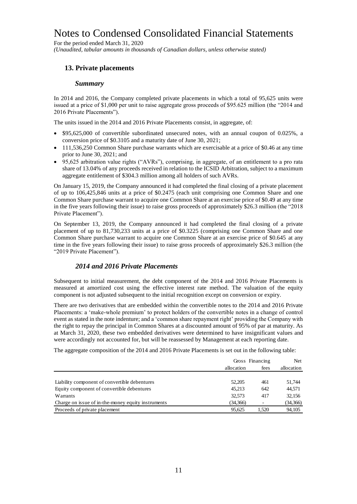For the period ended March 31, 2020 *(Unaudited, tabular amounts in thousands of Canadian dollars, unless otherwise stated)*

# **13. Private placements**

### *Summary*

In 2014 and 2016, the Company completed private placements in which a total of 95,625 units were issued at a price of \$1,000 per unit to raise aggregate gross proceeds of \$95.625 million (the "2014 and 2016 Private Placements").

The units issued in the 2014 and 2016 Private Placements consist, in aggregate, of:

- \$95,625,000 of convertible subordinated unsecured notes, with an annual coupon of 0.025%, a conversion price of \$0.3105 and a maturity date of June 30, 2021;
- 111,536,250 Common Share purchase warrants which are exercisable at a price of \$0.46 at any time prior to June 30, 2021; and
- 95,625 arbitration value rights ("AVRs"), comprising, in aggregate, of an entitlement to a pro rata share of 13.04% of any proceeds received in relation to the ICSID Arbitration, subject to a maximum aggregate entitlement of \$304.3 million among all holders of such AVRs.

On January 15, 2019, the Company announced it had completed the final closing of a private placement of up to 106,425,846 units at a price of \$0.2475 (each unit comprising one Common Share and one Common Share purchase warrant to acquire one Common Share at an exercise price of \$0.49 at any time in the five years following their issue) to raise gross proceeds of approximately \$26.3 million (the "2018 Private Placement").

On September 13, 2019, the Company announced it had completed the final closing of a private placement of up to 81,730,233 units at a price of \$0.3225 (comprising one Common Share and one Common Share purchase warrant to acquire one Common Share at an exercise price of \$0.645 at any time in the five years following their issue) to raise gross proceeds of approximately \$26.3 million (the "2019 Private Placement").

## *2014 and 2016 Private Placements*

Subsequent to initial measurement, the debt component of the 2014 and 2016 Private Placements is measured at amortized cost using the effective interest rate method. The valuation of the equity component is not adjusted subsequent to the initial recognition except on conversion or expiry.

There are two derivatives that are embedded within the convertible notes to the 2014 and 2016 Private Placements: a 'make-whole premium' to protect holders of the convertible notes in a change of control event as stated in the note indenture; and a 'common share repayment right' providing the Company with the right to repay the principal in Common Shares at a discounted amount of 95% of par at maturity. As at March 31, 2020, these two embedded derivatives were determined to have insignificant values and were accordingly not accounted for, but will be reassessed by Management at each reporting date.

The aggregate composition of the 2014 and 2016 Private Placements is set out in the following table:

|                                                    | allocation | Gross Financing<br>fees |          |
|----------------------------------------------------|------------|-------------------------|----------|
|                                                    |            |                         |          |
| Liability component of convertible debentures      | 52,205     | 461                     | 51.744   |
| Equity component of convertible debentures         | 45.213     | 642                     | 44.571   |
| Warrants                                           | 32.573     | 417                     | 32,156   |
| Charge on issue of in-the-money equity instruments | (34,366)   |                         | (34,366) |
| Proceeds of private placement                      | 95.625     | 1.520                   | 94,105   |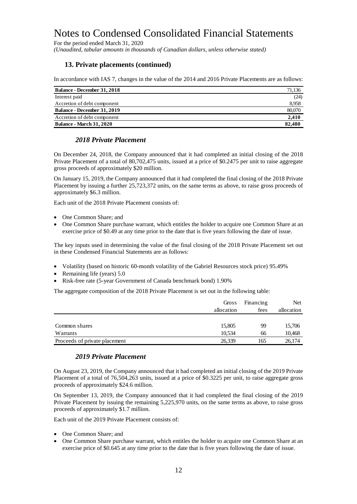For the period ended March 31, 2020

*(Unaudited, tabular amounts in thousands of Canadian dollars, unless otherwise stated)*

## **13. Private placements (continued)**

In accordance with IAS 7, changes in the value of the 2014 and 2016 Private Placements are as follows:

| <b>Balance - December 31, 2018</b> | 71,136 |
|------------------------------------|--------|
| Interest paid                      | (24)   |
| Accretion of debt component        | 8,958  |
| Balance - December 31, 2019        | 80,070 |
| Accretion of debt component        | 2.410  |
| <b>Balance - March 31, 2020</b>    | 82.480 |

### *2018 Private Placement*

On December 24, 2018, the Company announced that it had completed an initial closing of the 2018 Private Placement of a total of 80,702,475 units, issued at a price of \$0.2475 per unit to raise aggregate gross proceeds of approximately \$20 million.

On January 15, 2019, the Company announced that it had completed the final closing of the 2018 Private Placement by issuing a further 25,723,372 units, on the same terms as above, to raise gross proceeds of approximately \$6.3 million.

Each unit of the 2018 Private Placement consists of:

- One Common Share: and
- One Common Share purchase warrant, which entitles the holder to acquire one Common Share at an exercise price of \$0.49 at any time prior to the date that is five years following the date of issue.

The key inputs used in determining the value of the final closing of the 2018 Private Placement set out in these Condensed Financial Statements are as follows:

- Volatility (based on historic 60-month volatility of the Gabriel Resources stock price) 95.49%
- Remaining life (years) 5.0
- Risk-free rate (5-year Government of Canada benchmark bond) 1.90%

The aggregate composition of the 2018 Private Placement is set out in the following table:

|                               | Gross      | Financing | Net.       |
|-------------------------------|------------|-----------|------------|
|                               | allocation | fees      | allocation |
|                               |            |           |            |
| Common shares                 | 15,805     | 99        | 15,706     |
| Warrants                      | 10.534     | 66        | 10,468     |
| Proceeds of private placement | 26,339     | 165       | 26.174     |

## *2019 Private Placement*

On August 23, 2019, the Company announced that it had completed an initial closing of the 2019 Private Placement of a total of 76,504,263 units, issued at a price of \$0.3225 per unit, to raise aggregate gross proceeds of approximately \$24.6 million.

On September 13, 2019, the Company announced that it had completed the final closing of the 2019 Private Placement by issuing the remaining 5,225,970 units, on the same terms as above, to raise gross proceeds of approximately \$1.7 million.

Each unit of the 2019 Private Placement consists of:

- One Common Share: and
- One Common Share purchase warrant, which entitles the holder to acquire one Common Share at an exercise price of \$0.645 at any time prior to the date that is five years following the date of issue.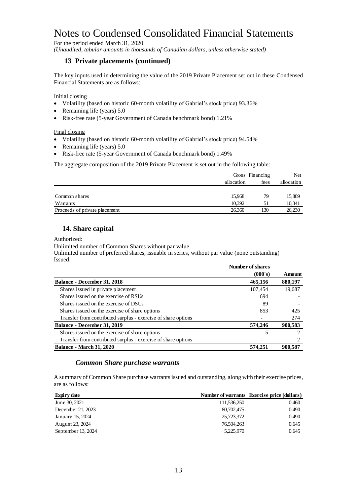For the period ended March 31, 2020

*(Unaudited, tabular amounts in thousands of Canadian dollars, unless otherwise stated)*

### **13 Private placements (continued)**

The key inputs used in determining the value of the 2019 Private Placement set out in these Condensed Financial Statements are as follows:

#### Initial closing

- Volatility (based on historic 60-month volatility of Gabriel's stock price) 93.36%
- Remaining life (years)  $5.0$
- Risk-free rate (5-year Government of Canada benchmark bond) 1.21%

#### Final closing

- Volatility (based on historic 60-month volatility of Gabriel's stock price) 94.54%
- Remaining life (years)  $5.0$
- Risk-free rate (5-year Government of Canada benchmark bond) 1.49%

The aggregate composition of the 2019 Private Placement is set out in the following table:

|                               |            | Gross Financing |            |
|-------------------------------|------------|-----------------|------------|
|                               | allocation | fees            | allocation |
|                               |            |                 |            |
| Common shares                 | 15.968     | 79              | 15,889     |
| Warrants                      | 10.392     | 51              | 10,341     |
| Proceeds of private placement | 26.360     | 130             | 26,230     |

## **14. Share capital**

Authorized:

Unlimited number of Common Shares without par value

Unlimited number of preferred shares, issuable in series, without par value (none outstanding) Issued:

|                                                               | Number of shares |         |
|---------------------------------------------------------------|------------------|---------|
|                                                               | (000's)          | Amount  |
| <b>Balance - December 31, 2018</b>                            | 465,156          | 880,197 |
| Shares issued in private placement                            | 107.454          | 19,687  |
| Shares issued on the exercise of RSUs                         | 694              |         |
| Shares issued on the exercise of DSUs                         | 89               |         |
| Shares issued on the exercise of share options                | 853              | 425     |
| Transfer from contributed surplus - exercise of share options |                  | 274     |
| Balance - December 31, 2019                                   | 574,246          | 900,583 |
| Shares issued on the exercise of share options                | 5                |         |
| Transfer from contributed surplus - exercise of share options |                  |         |
| <b>Balance - March 31, 2020</b>                               | 574,251          | 900.587 |

## *Common Share purchase warrants*

A summary of Common Share purchase warrants issued and outstanding, along with their exercise prices, are as follows:

| <b>Expiry date</b> |             | Number of warrants Exercise price (dollars) |
|--------------------|-------------|---------------------------------------------|
| June 30, 2021      | 111,536,250 | 0.460                                       |
| December 21, 2023  | 80,702,475  | 0.490                                       |
| January 15, 2024   | 25,723,372  | 0.490                                       |
| August 23, 2024    | 76,504,263  | 0.645                                       |
| September 13, 2024 | 5,225,970   | 0.645                                       |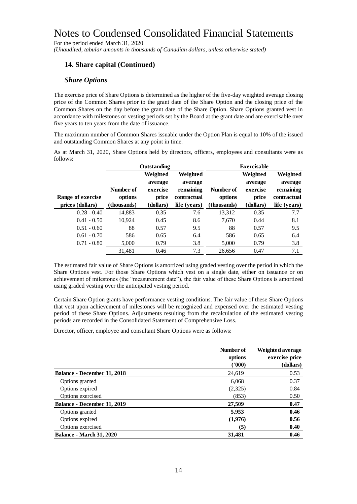For the period ended March 31, 2020

*(Unaudited, tabular amounts in thousands of Canadian dollars, unless otherwise stated)*

## **14. Share capital (Continued)**

### *Share Options*

The exercise price of Share Options is determined as the higher of the five-day weighted average closing price of the Common Shares prior to the grant date of the Share Option and the closing price of the Common Shares on the day before the grant date of the Share Option. Share Options granted vest in accordance with milestones or vesting periods set by the Board at the grant date and are exercisable over five years to ten years from the date of issuance.

The maximum number of Common Shares issuable under the Option Plan is equal to 10% of the issued and outstanding Common Shares at any point in time.

As at March 31, 2020, Share Options held by directors, officers, employees and consultants were as follows:

|                                                                                                                                                                                                                                                                                                                                                                                                                                                                                                                                                                                                                                                                                                                                                                                            |             | Outstanding |              |             | <b>Exercisable</b> |                  |
|--------------------------------------------------------------------------------------------------------------------------------------------------------------------------------------------------------------------------------------------------------------------------------------------------------------------------------------------------------------------------------------------------------------------------------------------------------------------------------------------------------------------------------------------------------------------------------------------------------------------------------------------------------------------------------------------------------------------------------------------------------------------------------------------|-------------|-------------|--------------|-------------|--------------------|------------------|
|                                                                                                                                                                                                                                                                                                                                                                                                                                                                                                                                                                                                                                                                                                                                                                                            |             | Weighted    | Weighted     |             | Weighted           | Weighted         |
|                                                                                                                                                                                                                                                                                                                                                                                                                                                                                                                                                                                                                                                                                                                                                                                            |             | average     | average      |             | average            | average          |
|                                                                                                                                                                                                                                                                                                                                                                                                                                                                                                                                                                                                                                                                                                                                                                                            | Number of   | exercise    | remaining    | Number of   | exercise           | remaining        |
| Range of exercise                                                                                                                                                                                                                                                                                                                                                                                                                                                                                                                                                                                                                                                                                                                                                                          | options     | price       | contractual  | options     | price              | contractual      |
| prices (dollars)                                                                                                                                                                                                                                                                                                                                                                                                                                                                                                                                                                                                                                                                                                                                                                           | (thousands) | (dollars)   | life (years) | (thousands) | (dollars)          | life (years)     |
| $0.28 - 0.40$                                                                                                                                                                                                                                                                                                                                                                                                                                                                                                                                                                                                                                                                                                                                                                              | 14,883      | 0.35        | 7.6          | 13,312      | 0.35               | 7.7              |
| $0.41 - 0.50$                                                                                                                                                                                                                                                                                                                                                                                                                                                                                                                                                                                                                                                                                                                                                                              | 10,924      | 0.45        | 8.6          | 7,670       | 0.44               | 8.1              |
| $0.51 - 0.60$                                                                                                                                                                                                                                                                                                                                                                                                                                                                                                                                                                                                                                                                                                                                                                              | 88          | 0.57        | 9.5          | 88          | 0.57               | 9.5              |
| $0.61 - 0.70$                                                                                                                                                                                                                                                                                                                                                                                                                                                                                                                                                                                                                                                                                                                                                                              | 586         | 0.65        | 6.4          | 586         | 0.65               | 6.4              |
| $0.71 - 0.80$                                                                                                                                                                                                                                                                                                                                                                                                                                                                                                                                                                                                                                                                                                                                                                              | 5,000       | 0.79        | 3.8          | 5,000       | 0.79               | 3.8              |
|                                                                                                                                                                                                                                                                                                                                                                                                                                                                                                                                                                                                                                                                                                                                                                                            | 31,481      | 0.46        | 7.3          | 26,656      | 0.47               | 7.1              |
| The estimated fair value of Share Options is amortized using graded vesting over the period in which the<br>Share Options vest. For those Share Options which vest on a single date, either on issuance or on<br>achievement of milestones (the "measurement date"), the fair value of these Share Options is amortized<br>using graded vesting over the anticipated vesting period.<br>Certain Share Option grants have performance vesting conditions. The fair value of these Share Options<br>that vest upon achievement of milestones will be recognized and expensed over the estimated vesting<br>period of these Share Options. Adjustments resulting from the recalculation of the estimated vesting<br>periods are recorded in the Consolidated Statement of Comprehensive Loss. |             |             |              |             |                    |                  |
|                                                                                                                                                                                                                                                                                                                                                                                                                                                                                                                                                                                                                                                                                                                                                                                            |             |             |              |             |                    |                  |
| Director, officer, employee and consultant Share Options were as follows:                                                                                                                                                                                                                                                                                                                                                                                                                                                                                                                                                                                                                                                                                                                  |             |             |              |             |                    |                  |
|                                                                                                                                                                                                                                                                                                                                                                                                                                                                                                                                                                                                                                                                                                                                                                                            |             |             |              | Number of   |                    | Weighted average |

|                                    | Number of | Weighted average<br>exercise price |  |  |
|------------------------------------|-----------|------------------------------------|--|--|
|                                    | options   |                                    |  |  |
|                                    | (1000)    | (dollars)                          |  |  |
| <b>Balance - December 31, 2018</b> | 24,619    | 0.53                               |  |  |
| Options granted                    | 6,068     | 0.37                               |  |  |
| Options expired                    | (2,325)   | 0.84                               |  |  |
| Options exercised                  | (853)     | 0.50                               |  |  |
| <b>Balance - December 31, 2019</b> | 27,509    | 0.47                               |  |  |
| Options granted                    | 5,953     | 0.46                               |  |  |
| Options expired                    | (1,976)   | 0.56                               |  |  |
| Options exercised                  | (5)       | 0.40                               |  |  |
| <b>Balance - March 31, 2020</b>    | 31,481    | 0.46                               |  |  |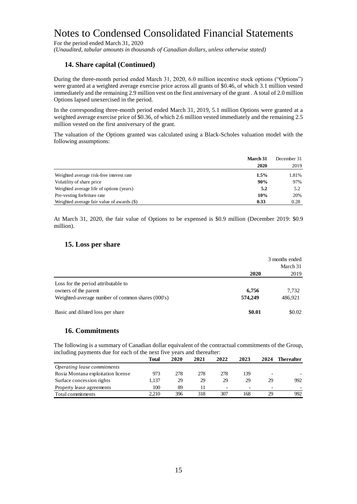For the period ended March 31, 2020

*(Unaudited, tabular amounts in thousands of Canadian dollars, unless otherwise stated)*

## **14. Share capital (Continued)**

During the three-month period ended March 31, 2020, 6.0 million incentive stock options ("Options") were granted at a weighted average exercise price across all grants of \$0.46, of which 3.1 million vested immediately and the remaining 2.9 million vest on the first anniversary of the grant . A total of 2.0 million Options lapsed unexercised in the period.

In the corresponding three-month period ended March 31, 2019, 5.1 million Options were granted at a weighted average exercise price of \$0.36, of which 2.6 million vested immediately and the remaining 2.5 million vested on the first anniversary of the grant.

The valuation of the Options granted was calculated using a Black-Scholes valuation model with the following assumptions:

|                                            | March 31 | December 31 |
|--------------------------------------------|----------|-------------|
|                                            | 2020     | 2019        |
| Weighted average risk-free interest rate   | $1.5\%$  | 1.81%       |
| Volatility of share price                  | 90%      | 97%         |
| Weighted average life of options (years)   | 5.2      | 5.2         |
| Pre-vesting forfeiture rate                | 10%      | 20%         |
| Weighted average fair value of awards (\$) | 0.33     | 0.28        |

At March 31, 2020, the fair value of Options to be expensed is \$0.9 million (December 2019: \$0.9 million).

### **15. Loss per share**

|                                                  | 3 months ended |          |  |
|--------------------------------------------------|----------------|----------|--|
|                                                  |                | March 31 |  |
|                                                  | 2020           | 2019     |  |
| Loss for the period attributable to              |                |          |  |
| owners of the parent                             | 6,756          | 7,732    |  |
| Weighted-average number of common shares (000's) | 574,249        | 486,921  |  |
| Basic and diluted loss per share                 | \$0.01         | \$0.02   |  |

## **16. Commitments**

The following is a summary of Canadian dollar equivalent of the contractual commitments of the Group, including payments due for each of the next five years and thereafter:

|                                    | Total | 2020 | 2021 | 2022 | 2023 | 2024 | Thereafter |  |
|------------------------------------|-------|------|------|------|------|------|------------|--|
| Operating lease commitments        |       |      |      |      |      |      |            |  |
| Rosia Montana exploitation license | 973   | 278  | 278  | 278  | 139  | -    |            |  |
| Surface concession rights          | 1.137 | 29   | 29   | 29   | 29   | 29   | 992        |  |
| Property lease agreements          | 100   | 89   |      |      |      | -    |            |  |
| Total commitments                  | 2.210 | 396  | 318  | 307  | 168  | 29   | 992        |  |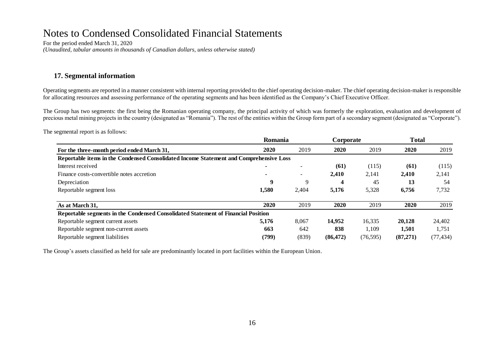For the period ended March 31, 2020 *(Unaudited, tabular amounts in thousands of Canadian dollars, unless otherwise stated)*

## **17. Segmental information**

Operating segments are reported in a manner consistent with internal reporting provided to the chief operating decision-maker. The chief operating decision-maker is responsible for allocating resources and assessing performance of the operating segments and has been identified as the Company's Chief Executive Officer.

The Group has two segments: the first being the Romanian operating company, the principal activity of which was formerly the exploration, evaluation and development of precious metal mining projects in the country (designated as "Romania"). The rest of the entities within the Group form part of a secondary segment (designated as "Corporate").

The segmental report is as follows:

|                                                                                        | <b>Romania</b> |                          | Corporate |           | <b>Total</b> |           |
|----------------------------------------------------------------------------------------|----------------|--------------------------|-----------|-----------|--------------|-----------|
| For the three-month period ended March 31,                                             | 2020           | 2019                     | 2020      | 2019      | 2020         | 2019      |
| Reportable items in the Condensed Consolidated Income Statement and Comprehensive Loss |                |                          |           |           |              |           |
| Interest received                                                                      |                | $\overline{\phantom{a}}$ | (61)      | (115)     | (61)         | (115)     |
| Finance costs-convertible notes accretion                                              |                | $\overline{\phantom{a}}$ | 2,410     | 2,141     | 2,410        | 2,141     |
| Depreciation                                                                           | 9              | 9                        | 4         | 45        | 13           | 54        |
| Reportable segment loss                                                                | 1,580          | 2,404                    | 5,176     | 5,328     | 6,756        | 7,732     |
| As at March 31,                                                                        | 2020           | 2019                     | 2020      | 2019      | 2020         | 2019      |
| Reportable segments in the Condensed Consolidated Statement of Financial Position      |                |                          |           |           |              |           |
| Reportable segment current assets                                                      | 5,176          | 8,067                    | 14.952    | 16,335    | 20,128       | 24,402    |
| Reportable segment non-current assets                                                  | 663            | 642                      | 838       | 1,109     | 1,501        | 1,751     |
| Reportable segment liabilities                                                         | (799)          | (839)                    | (86, 472) | (76, 595) | (87,271)     | (77, 434) |

The Group's assets classified as held for sale are predominantly located in port facilities within the European Union.